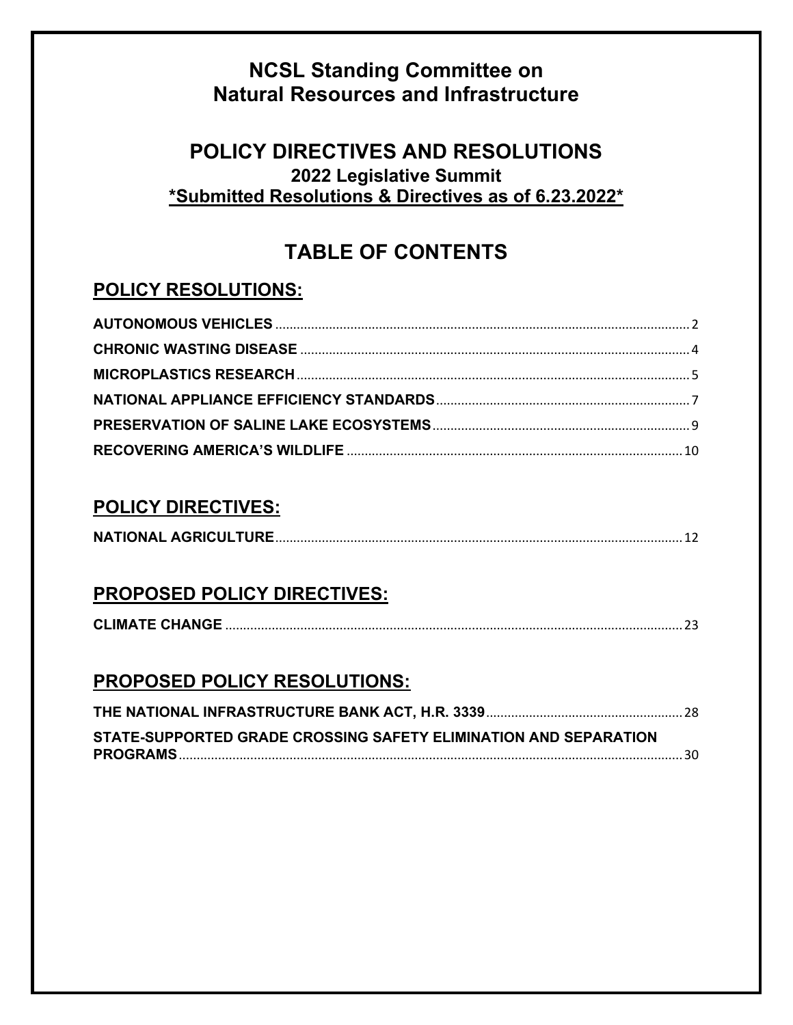# **NCSL Standing Committee on Natural Resources and Infrastructure**

# **POLICY DIRECTIVES AND RESOLUTIONS 2022 Legislative Summit \*Submitted Resolutions & Directives as of 6.23.2022\***

# **TABLE OF CONTENTS**

# <span id="page-0-0"></span>**POLICY RESOLUTIONS:**

## **POLICY DIRECTIVES:**

|--|

# **PROPOSED POLICY DIRECTIVES:**

|--|

# **PROPOSED POLICY RESOLUTIONS:**

| STATE-SUPPORTED GRADE CROSSING SAFETY ELIMINATION AND SEPARATION |  |
|------------------------------------------------------------------|--|
|                                                                  |  |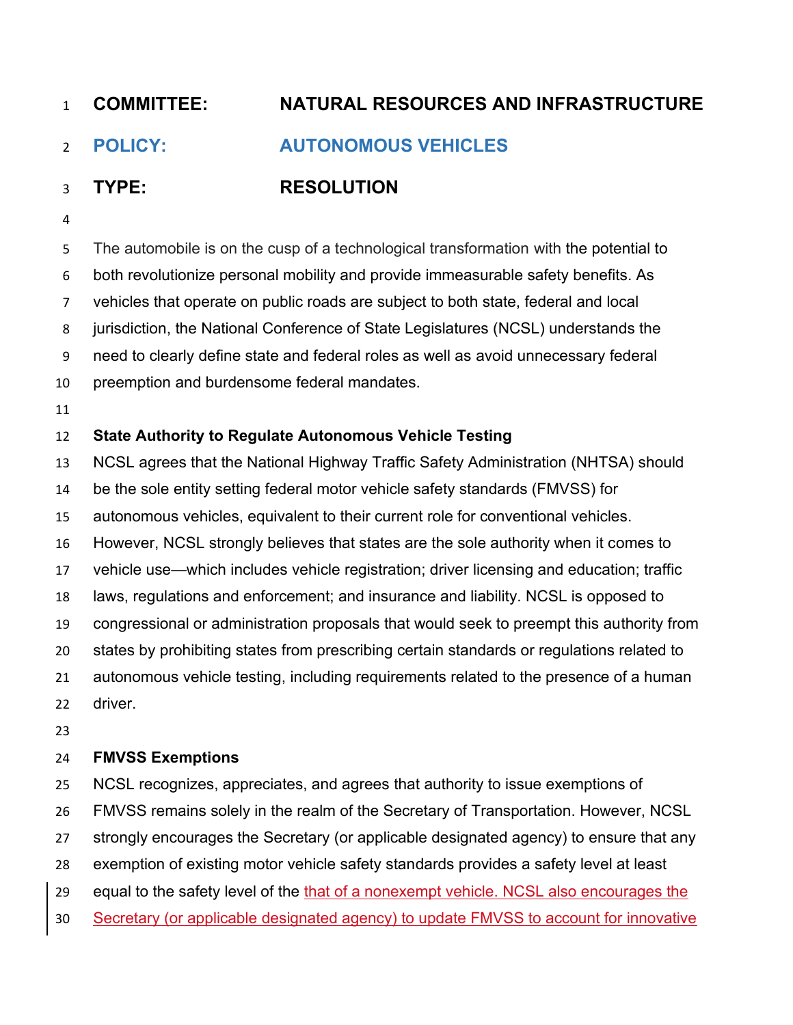# <span id="page-1-0"></span>**POLICY: AUTONOMOUS VEHICLES**

# **TYPE: RESOLUTION**

The automobile is on the cusp of a technological transformation with the potential to

- both revolutionize personal mobility and provide immeasurable safety benefits. As
- vehicles that operate on public roads are subject to both state, federal and local
- jurisdiction, the National Conference of State Legislatures (NCSL) understands the
- need to clearly define state and federal roles as well as avoid unnecessary federal
- preemption and burdensome federal mandates.
- 

## **State Authority to Regulate Autonomous Vehicle Testing**

- NCSL agrees that the National Highway Traffic Safety Administration (NHTSA) should
- be the sole entity setting federal motor vehicle safety standards (FMVSS) for
- autonomous vehicles, equivalent to their current role for conventional vehicles.
- However, NCSL strongly believes that states are the sole authority when it comes to
- vehicle use—which includes vehicle registration; driver licensing and education; traffic
- laws, regulations and enforcement; and insurance and liability. NCSL is opposed to
- congressional or administration proposals that would seek to preempt this authority from
- states by prohibiting states from prescribing certain standards or regulations related to
- autonomous vehicle testing, including requirements related to the presence of a human driver.
- 

## **FMVSS Exemptions**

- NCSL recognizes, appreciates, and agrees that authority to issue exemptions of
- FMVSS remains solely in the realm of the Secretary of Transportation. However, NCSL
- strongly encourages the Secretary (or applicable designated agency) to ensure that any
- exemption of existing motor vehicle safety standards provides a safety level at least
- 29 equal to the safety level of the that of a nonexempt vehicle. NCSL also encourages the
- Secretary (or applicable designated agency) to update FMVSS to account for innovative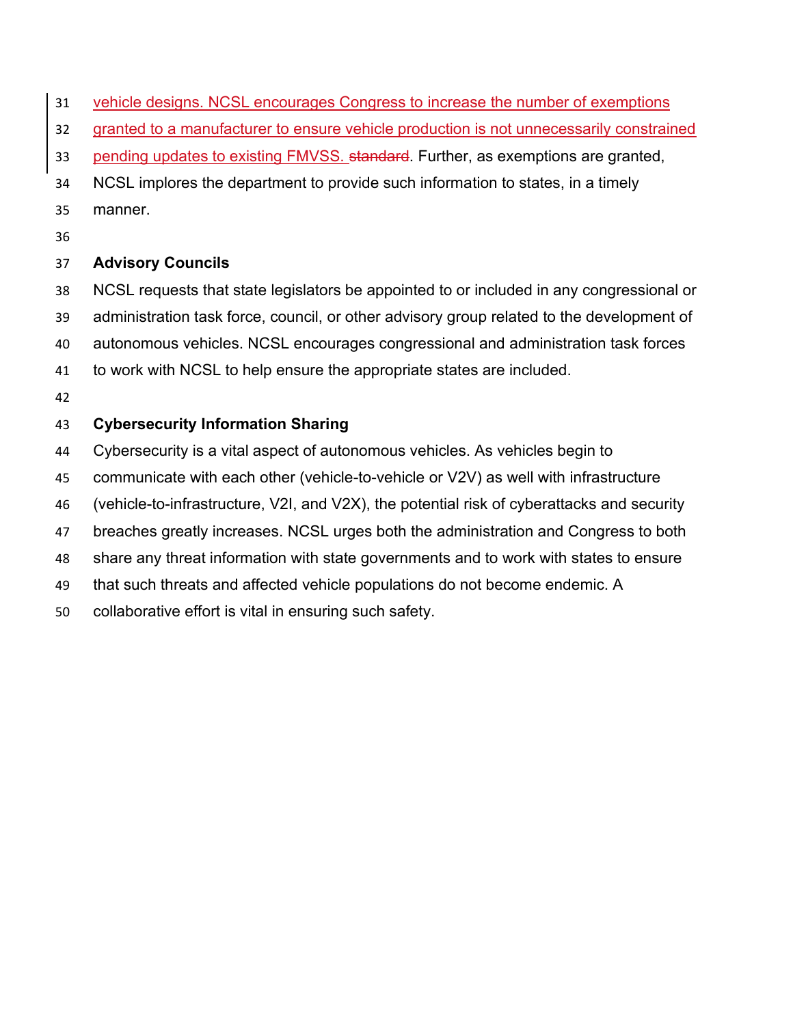- vehicle designs. NCSL encourages Congress to increase the number of exemptions
- granted to a manufacturer to ensure vehicle production is not unnecessarily constrained
- 33 pending updates to existing FMVSS. standard. Further, as exemptions are granted,
- NCSL implores the department to provide such information to states, in a timely
- manner.
- 

### **Advisory Councils**

- NCSL requests that state legislators be appointed to or included in any congressional or
- administration task force, council, or other advisory group related to the development of
- autonomous vehicles. NCSL encourages congressional and administration task forces
- to work with NCSL to help ensure the appropriate states are included.
- 

## **Cybersecurity Information Sharing**

- Cybersecurity is a vital aspect of autonomous vehicles. As vehicles begin to
- communicate with each other (vehicle-to-vehicle or V2V) as well with infrastructure
- (vehicle-to-infrastructure, V2I, and V2X), the potential risk of cyberattacks and security
- breaches greatly increases. NCSL urges both the administration and Congress to both
- share any threat information with state governments and to work with states to ensure
- that such threats and affected vehicle populations do not become endemic. A
- collaborative effort is vital in ensuring such safety.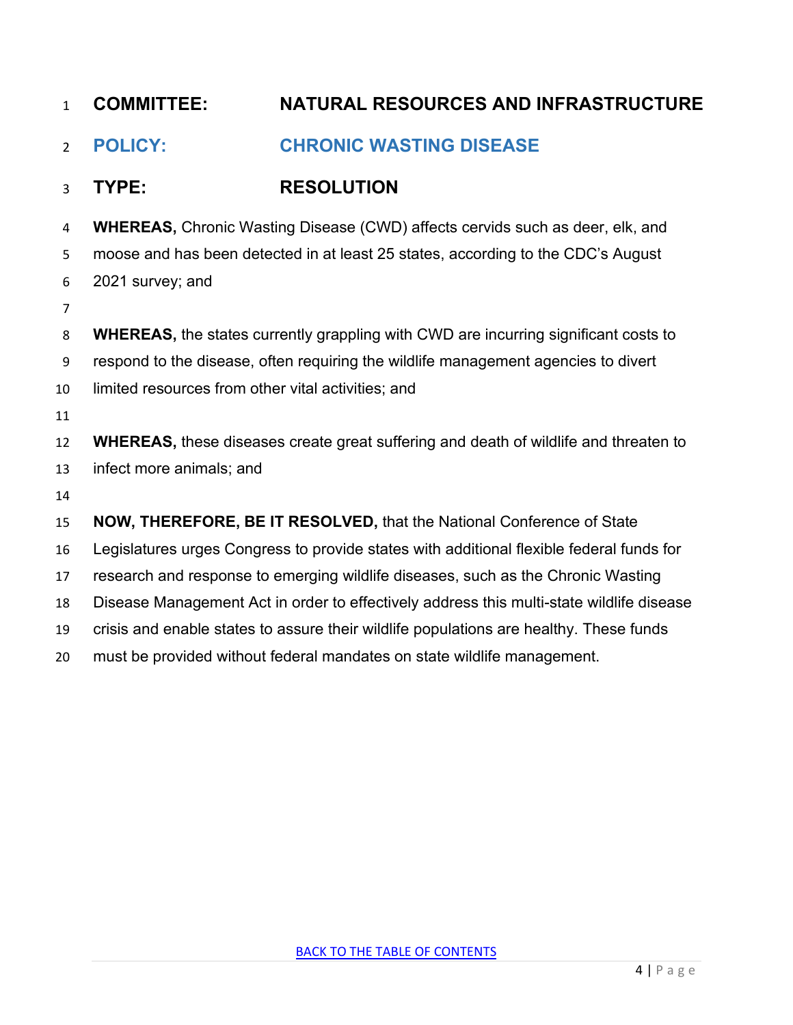<span id="page-3-0"></span>

| $\mathbf{1}$   | <b>COMMITTEE:</b>                                  | <b>NATURAL RESOURCES AND INFRASTRUCTURE</b>                                                  |
|----------------|----------------------------------------------------|----------------------------------------------------------------------------------------------|
| $\overline{2}$ | <b>POLICY:</b>                                     | <b>CHRONIC WASTING DISEASE</b>                                                               |
| 3              | TYPE:                                              | <b>RESOLUTION</b>                                                                            |
| 4              |                                                    | <b>WHEREAS, Chronic Wasting Disease (CWD) affects cervids such as deer, elk, and</b>         |
| 5              |                                                    | moose and has been detected in at least 25 states, according to the CDC's August             |
| 6              | 2021 survey; and                                   |                                                                                              |
| 7              |                                                    |                                                                                              |
| 8              |                                                    | <b>WHEREAS, the states currently grappling with CWD are incurring significant costs to</b>   |
| 9              |                                                    | respond to the disease, often requiring the wildlife management agencies to divert           |
| 10             | limited resources from other vital activities; and |                                                                                              |
| 11             |                                                    |                                                                                              |
| 12             |                                                    | <b>WHEREAS</b> , these diseases create great suffering and death of wildlife and threaten to |
| 13             | infect more animals; and                           |                                                                                              |
| 14             |                                                    |                                                                                              |
| 15             |                                                    | NOW, THEREFORE, BE IT RESOLVED, that the National Conference of State                        |
| 16             |                                                    | Legislatures urges Congress to provide states with additional flexible federal funds for     |
| 17             |                                                    | research and response to emerging wildlife diseases, such as the Chronic Wasting             |
| 18             |                                                    | Disease Management Act in order to effectively address this multi-state wildlife disease     |
| 19             |                                                    | crisis and enable states to assure their wildlife populations are healthy. These funds       |

must be provided without federal mandates on state wildlife management.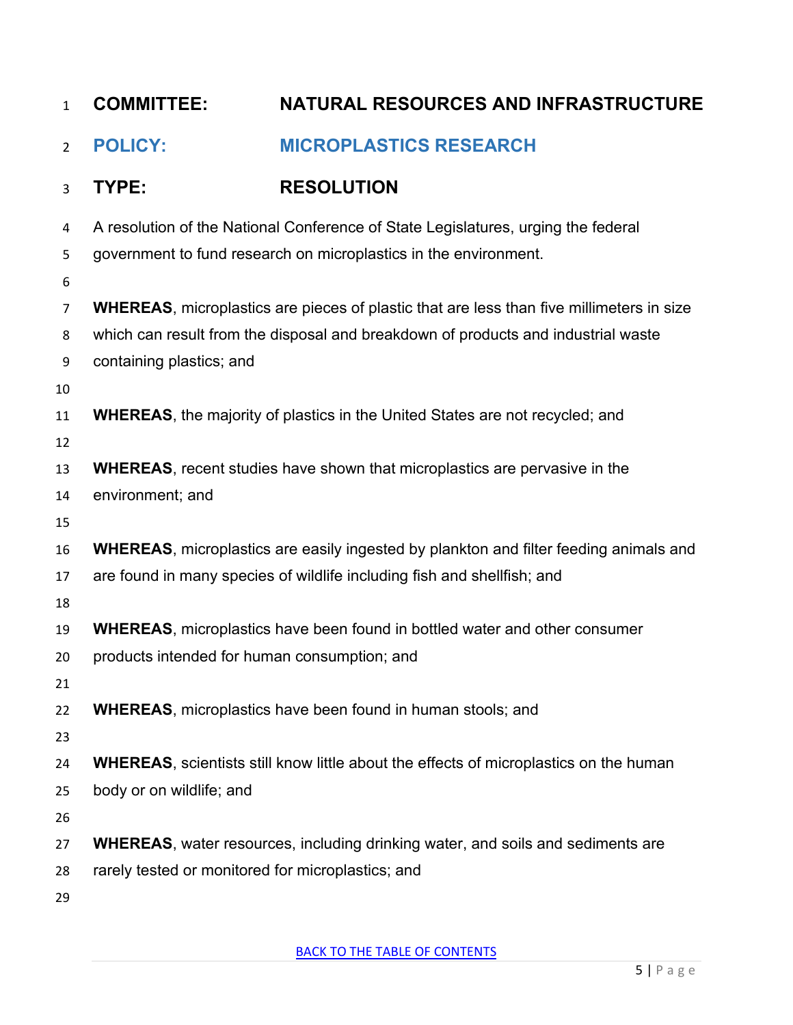<span id="page-4-0"></span>

| $\mathbf{1}$   | <b>COMMITTEE:</b>                                 | NATURAL RESOURCES AND INFRASTRUCTURE                                                            |
|----------------|---------------------------------------------------|-------------------------------------------------------------------------------------------------|
| $\overline{2}$ | <b>POLICY:</b>                                    | <b>MICROPLASTICS RESEARCH</b>                                                                   |
| 3              | TYPE:                                             | <b>RESOLUTION</b>                                                                               |
| 4              |                                                   | A resolution of the National Conference of State Legislatures, urging the federal               |
| 5              |                                                   | government to fund research on microplastics in the environment.                                |
| 6              |                                                   |                                                                                                 |
| 7              |                                                   | <b>WHEREAS, microplastics are pieces of plastic that are less than five millimeters in size</b> |
| 8              |                                                   | which can result from the disposal and breakdown of products and industrial waste               |
| 9              | containing plastics; and                          |                                                                                                 |
| 10             |                                                   |                                                                                                 |
| 11             |                                                   | <b>WHEREAS, the majority of plastics in the United States are not recycled; and</b>             |
| 12             |                                                   |                                                                                                 |
| 13             |                                                   | <b>WHEREAS</b> , recent studies have shown that microplastics are pervasive in the              |
| 14             | environment; and                                  |                                                                                                 |
| 15             |                                                   |                                                                                                 |
| 16             |                                                   | <b>WHEREAS, microplastics are easily ingested by plankton and filter feeding animals and</b>    |
| 17             |                                                   | are found in many species of wildlife including fish and shellfish; and                         |
| 18             |                                                   |                                                                                                 |
| 19             |                                                   | <b>WHEREAS, microplastics have been found in bottled water and other consumer</b>               |
| 20             | products intended for human consumption; and      |                                                                                                 |
| 21             |                                                   |                                                                                                 |
| 22             |                                                   | <b>WHEREAS, microplastics have been found in human stools; and</b>                              |
| 23             |                                                   |                                                                                                 |
| 24             |                                                   | <b>WHEREAS, scientists still know little about the effects of microplastics on the human</b>    |
| 25             | body or on wildlife; and                          |                                                                                                 |
| 26             |                                                   | <b>WHEREAS, water resources, including drinking water, and soils and sediments are</b>          |
| 27             |                                                   |                                                                                                 |
| 28             | rarely tested or monitored for microplastics; and |                                                                                                 |
| 29             |                                                   |                                                                                                 |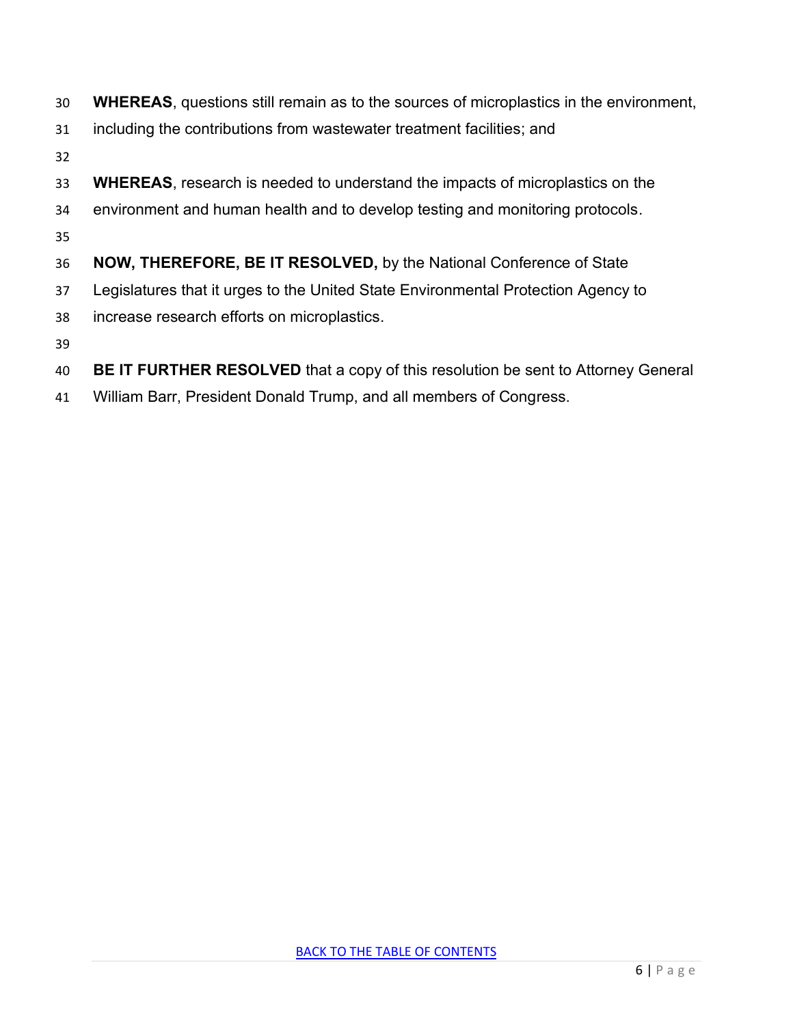- **WHEREAS**, questions still remain as to the sources of microplastics in the environment,
- including the contributions from wastewater treatment facilities; and
- 
- **WHEREAS**, research is needed to understand the impacts of microplastics on the
- environment and human health and to develop testing and monitoring protocols.
- 
- **NOW, THEREFORE, BE IT RESOLVED,** by the National Conference of State
- Legislatures that it urges to the United State Environmental Protection Agency to
- increase research efforts on microplastics.
- 
- **BE IT FURTHER RESOLVED** that a copy of this resolution be sent to Attorney General
- William Barr, President Donald Trump, and all members of Congress.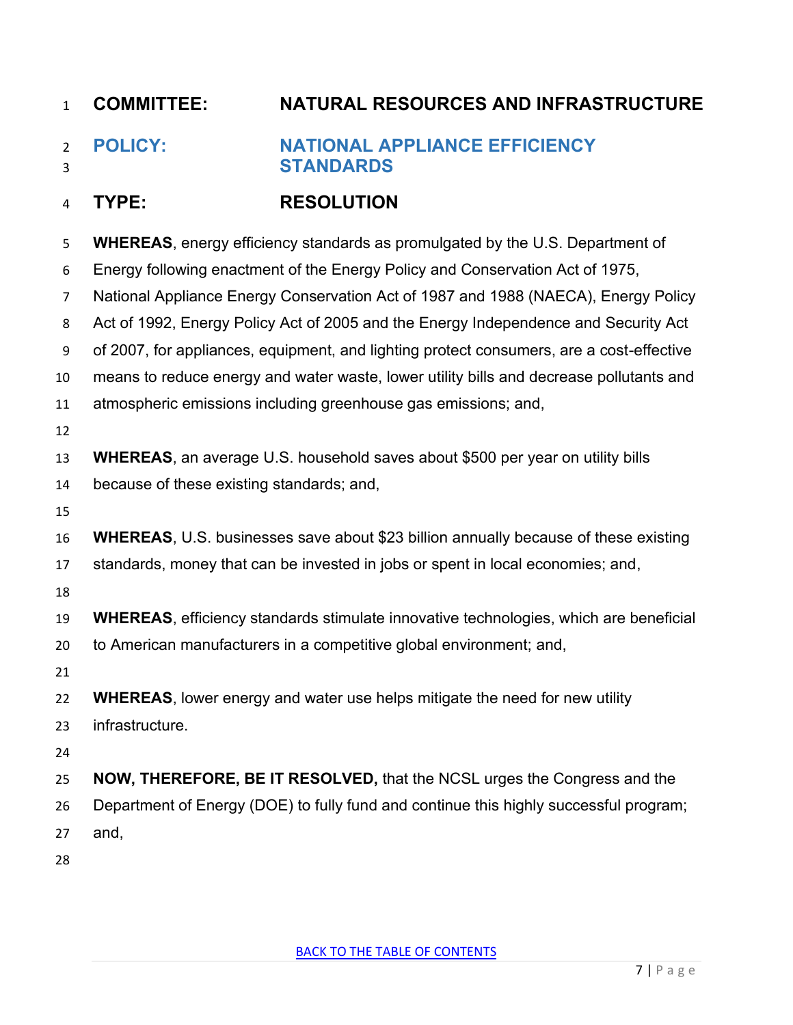<span id="page-6-0"></span> **POLICY: NATIONAL APPLIANCE EFFICIENCY STANDARDS**

## **TYPE: RESOLUTION**

| 5                | <b>WHEREAS, energy efficiency standards as promulgated by the U.S. Department of</b>         |
|------------------|----------------------------------------------------------------------------------------------|
| 6                | Energy following enactment of the Energy Policy and Conservation Act of 1975,                |
| 7                | National Appliance Energy Conservation Act of 1987 and 1988 (NAECA), Energy Policy           |
| 8                | Act of 1992, Energy Policy Act of 2005 and the Energy Independence and Security Act          |
| $\boldsymbol{9}$ | of 2007, for appliances, equipment, and lighting protect consumers, are a cost-effective     |
| 10               | means to reduce energy and water waste, lower utility bills and decrease pollutants and      |
| 11               | atmospheric emissions including greenhouse gas emissions; and,                               |
| 12               |                                                                                              |
| 13               | <b>WHEREAS, an average U.S. household saves about \$500 per year on utility bills</b>        |
| 14               | because of these existing standards; and,                                                    |
| 15               |                                                                                              |
| 16               | <b>WHEREAS, U.S. businesses save about \$23 billion annually because of these existing</b>   |
| 17               | standards, money that can be invested in jobs or spent in local economies; and,              |
| 18               |                                                                                              |
| 19               | <b>WHEREAS, efficiency standards stimulate innovative technologies, which are beneficial</b> |
| 20               | to American manufacturers in a competitive global environment; and,                          |
| 21               |                                                                                              |
| 22               | <b>WHEREAS, lower energy and water use helps mitigate the need for new utility</b>           |
| 23               | infrastructure.                                                                              |
| 24               |                                                                                              |
| 25               | NOW, THEREFORE, BE IT RESOLVED, that the NCSL urges the Congress and the                     |
| 26               | Department of Energy (DOE) to fully fund and continue this highly successful program;        |
| 27               | and,                                                                                         |
| 28               |                                                                                              |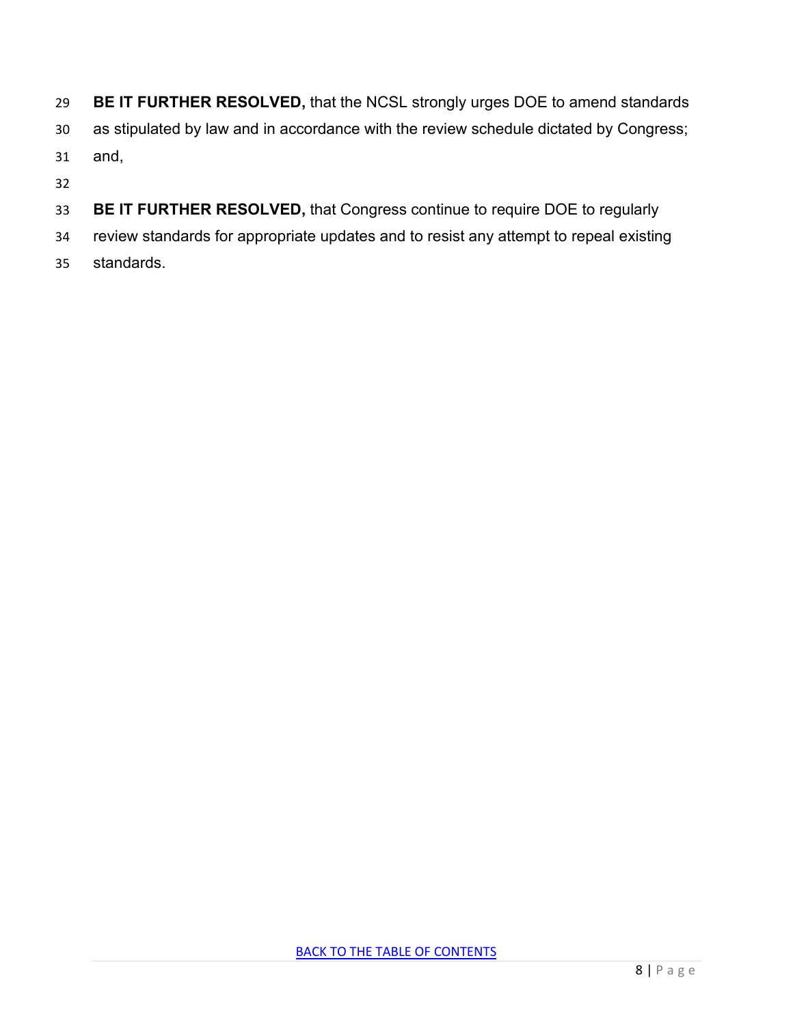- **BE IT FURTHER RESOLVED,** that the NCSL strongly urges DOE to amend standards
- as stipulated by law and in accordance with the review schedule dictated by Congress;
- and,
- 
- **BE IT FURTHER RESOLVED,** that Congress continue to require DOE to regularly
- review standards for appropriate updates and to resist any attempt to repeal existing
- standards.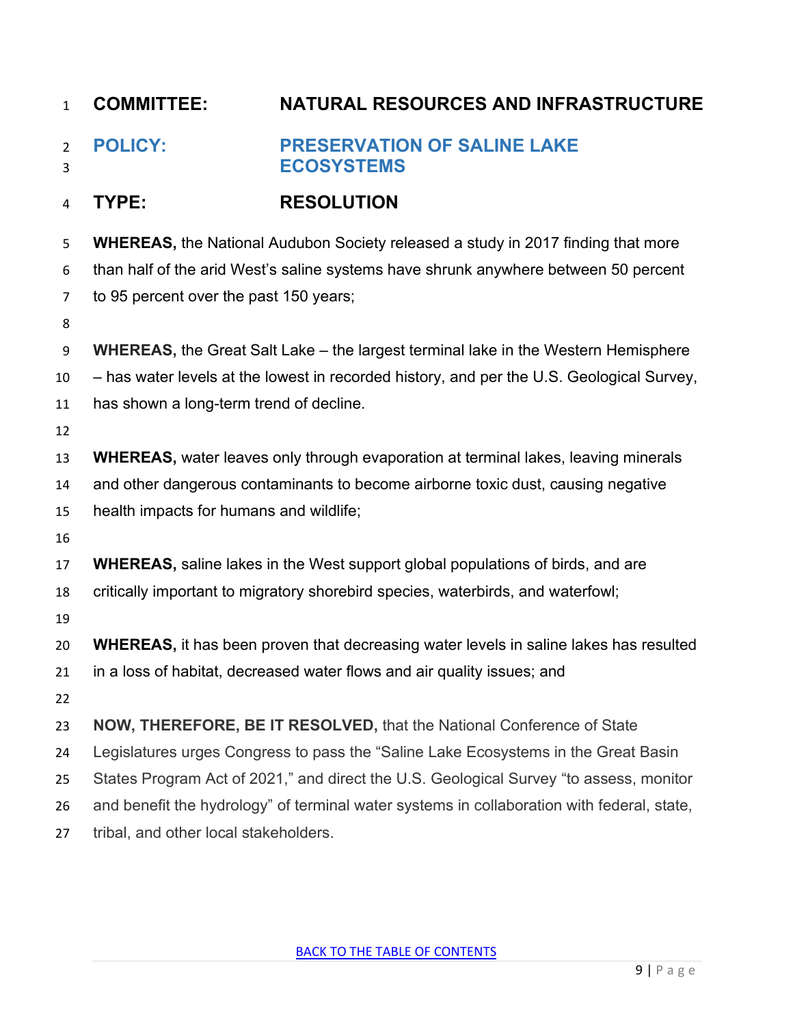<span id="page-8-0"></span>

| $\mathbf{1}$        | <b>COMMITTEE:</b>                       | <b>NATURAL RESOURCES AND INFRASTRUCTURE</b>                                                   |
|---------------------|-----------------------------------------|-----------------------------------------------------------------------------------------------|
| $\overline{2}$<br>3 | <b>POLICY:</b>                          | <b>PRESERVATION OF SALINE LAKE</b><br><b>ECOSYSTEMS</b>                                       |
| 4                   | TYPE:                                   | <b>RESOLUTION</b>                                                                             |
| 5                   |                                         | <b>WHEREAS, the National Audubon Society released a study in 2017 finding that more</b>       |
| 6                   |                                         | than half of the arid West's saline systems have shrunk anywhere between 50 percent           |
| 7                   | to 95 percent over the past 150 years;  |                                                                                               |
| 8                   |                                         |                                                                                               |
| 9                   |                                         | <b>WHEREAS, the Great Salt Lake – the largest terminal lake in the Western Hemisphere</b>     |
| 10                  |                                         | - has water levels at the lowest in recorded history, and per the U.S. Geological Survey,     |
| 11                  | has shown a long-term trend of decline. |                                                                                               |
| 12                  |                                         |                                                                                               |
| 13                  |                                         | <b>WHEREAS, water leaves only through evaporation at terminal lakes, leaving minerals</b>     |
| 14                  |                                         | and other dangerous contaminants to become airborne toxic dust, causing negative              |
| 15                  | health impacts for humans and wildlife; |                                                                                               |
| 16                  |                                         |                                                                                               |
| 17                  |                                         | <b>WHEREAS, saline lakes in the West support global populations of birds, and are</b>         |
| 18                  |                                         | critically important to migratory shorebird species, waterbirds, and waterfowl;               |
| 19                  |                                         |                                                                                               |
| 20                  |                                         | <b>WHEREAS</b> , it has been proven that decreasing water levels in saline lakes has resulted |
| 21                  |                                         | in a loss of habitat, decreased water flows and air quality issues; and                       |
| 22                  |                                         |                                                                                               |
| 23                  |                                         | NOW, THEREFORE, BE IT RESOLVED, that the National Conference of State                         |
| 24                  |                                         | Legislatures urges Congress to pass the "Saline Lake Ecosystems in the Great Basin            |
| 25                  |                                         | States Program Act of 2021," and direct the U.S. Geological Survey "to assess, monitor        |
| 26                  |                                         | and benefit the hydrology" of terminal water systems in collaboration with federal, state,    |
| 27                  | tribal, and other local stakeholders.   |                                                                                               |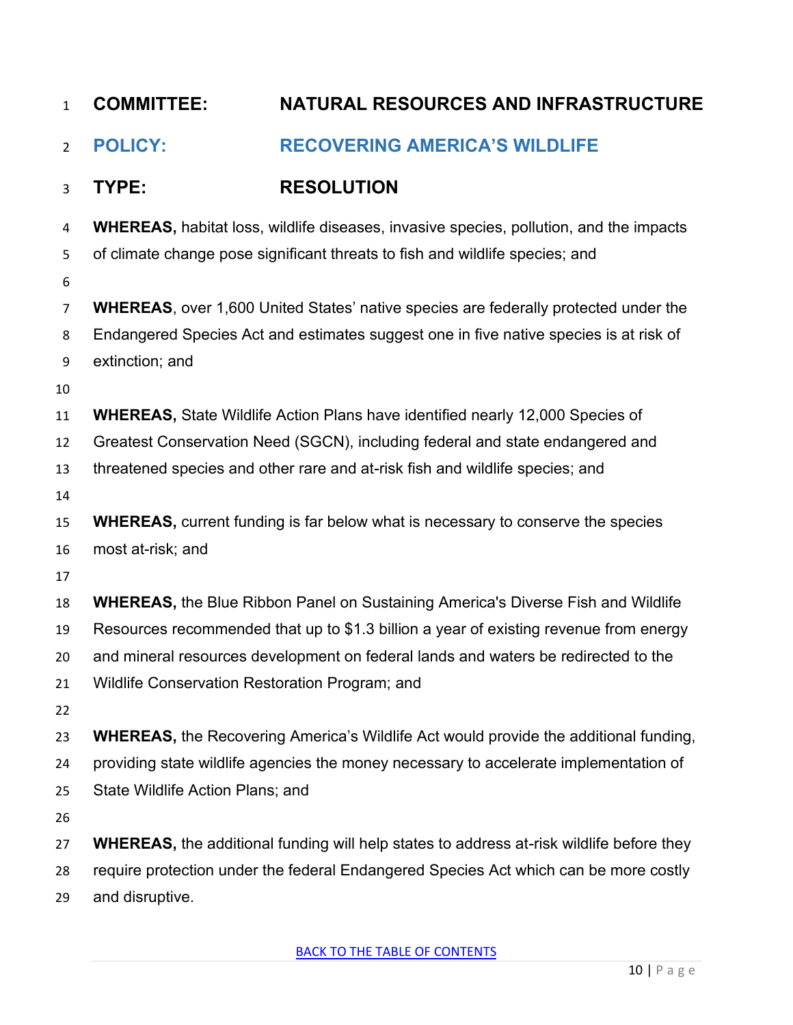<span id="page-9-0"></span>

| $\mathbf{1}$   | <b>COMMITTEE:</b>                              | <b>NATURAL RESOURCES AND INFRASTRUCTURE</b>                                                     |
|----------------|------------------------------------------------|-------------------------------------------------------------------------------------------------|
| $\overline{2}$ | <b>POLICY:</b>                                 | <b>RECOVERING AMERICA'S WILDLIFE</b>                                                            |
| 3              | TYPE:                                          | <b>RESOLUTION</b>                                                                               |
| 4              |                                                | <b>WHEREAS, habitat loss, wildlife diseases, invasive species, pollution, and the impacts</b>   |
| 5              |                                                | of climate change pose significant threats to fish and wildlife species; and                    |
| 6              |                                                |                                                                                                 |
| 7              |                                                | <b>WHEREAS, over 1,600 United States' native species are federally protected under the</b>      |
| 8              |                                                | Endangered Species Act and estimates suggest one in five native species is at risk of           |
| 9              | extinction; and                                |                                                                                                 |
| 10             |                                                |                                                                                                 |
| 11             |                                                | <b>WHEREAS, State Wildlife Action Plans have identified nearly 12,000 Species of</b>            |
| 12             |                                                | Greatest Conservation Need (SGCN), including federal and state endangered and                   |
| 13             |                                                | threatened species and other rare and at-risk fish and wildlife species; and                    |
| 14             |                                                |                                                                                                 |
| 15             |                                                | <b>WHEREAS, current funding is far below what is necessary to conserve the species</b>          |
| 16             | most at-risk; and                              |                                                                                                 |
| 17             |                                                |                                                                                                 |
| 18             |                                                | <b>WHEREAS, the Blue Ribbon Panel on Sustaining America's Diverse Fish and Wildlife</b>         |
| 19             |                                                | Resources recommended that up to \$1.3 billion a year of existing revenue from energy           |
| 20             |                                                | and mineral resources development on federal lands and waters be redirected to the              |
| 21             | Wildlife Conservation Restoration Program; and |                                                                                                 |
| 22             |                                                |                                                                                                 |
| 23             |                                                | <b>WHEREAS, the Recovering America's Wildlife Act would provide the additional funding,</b>     |
| 24             |                                                | providing state wildlife agencies the money necessary to accelerate implementation of           |
| 25             | State Wildlife Action Plans; and               |                                                                                                 |
| 26             |                                                |                                                                                                 |
| 27             |                                                | <b>WHEREAS, the additional funding will help states to address at-risk wildlife before they</b> |
| 28             |                                                | require protection under the federal Endangered Species Act which can be more costly            |
| 29             | and disruptive.                                |                                                                                                 |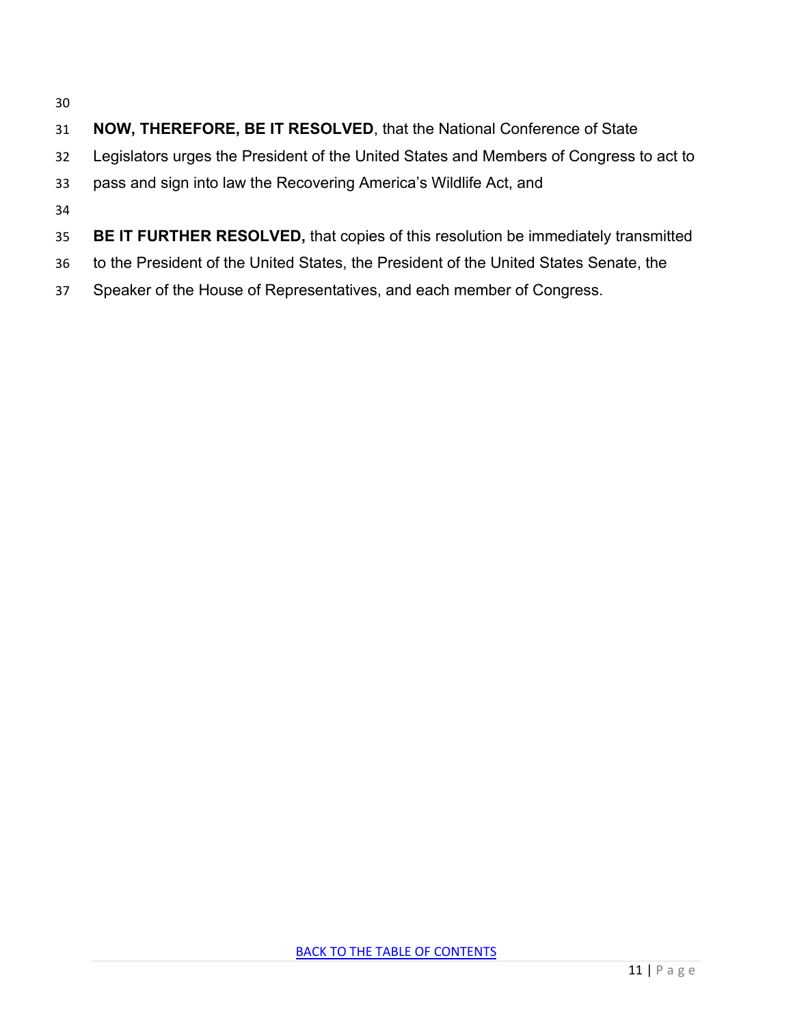- 
- **NOW, THEREFORE, BE IT RESOLVED**, that the National Conference of State
- Legislators urges the President of the United States and Members of Congress to act to
- pass and sign into law the Recovering America's Wildlife Act, and
- 
- **BE IT FURTHER RESOLVED,** that copies of this resolution be immediately transmitted
- to the President of the United States, the President of the United States Senate, the
- Speaker of the House of Representatives, and each member of Congress.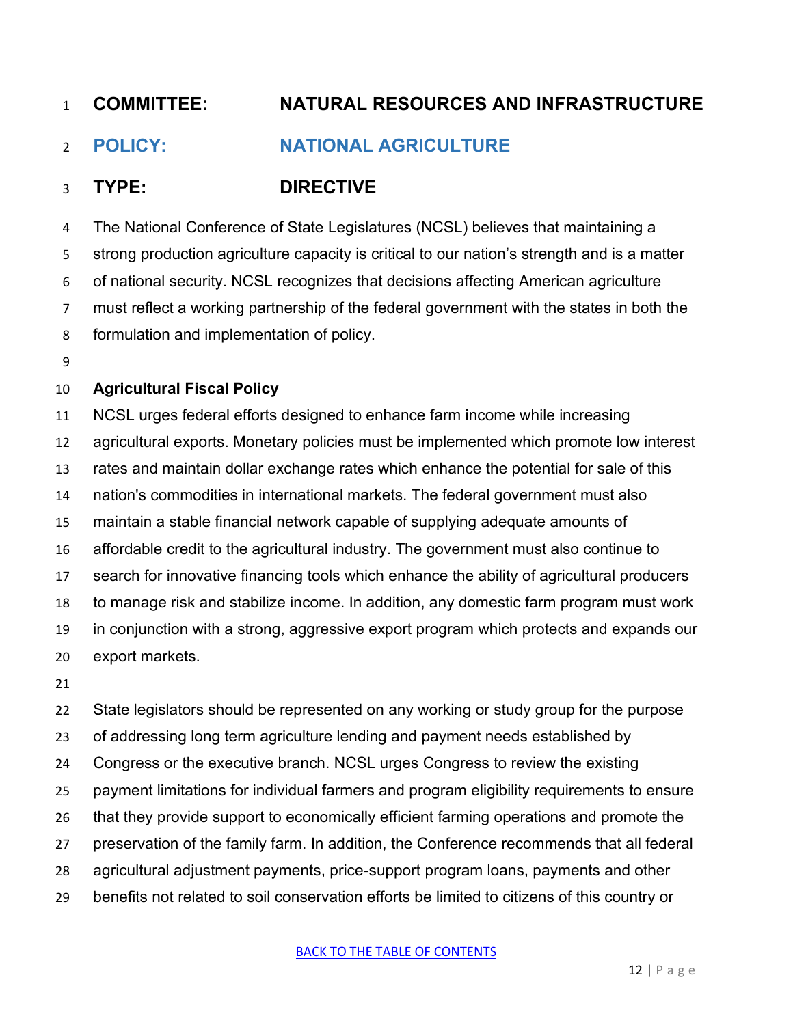# <span id="page-11-0"></span>**POLICY: NATIONAL AGRICULTURE**

## **TYPE: DIRECTIVE**

 The National Conference of State Legislatures (NCSL) believes that maintaining a strong production agriculture capacity is critical to our nation's strength and is a matter of national security. NCSL recognizes that decisions affecting American agriculture must reflect a working partnership of the federal government with the states in both the formulation and implementation of policy.

#### **Agricultural Fiscal Policy**

 NCSL urges federal efforts designed to enhance farm income while increasing agricultural exports. Monetary policies must be implemented which promote low interest rates and maintain dollar exchange rates which enhance the potential for sale of this nation's commodities in international markets. The federal government must also maintain a stable financial network capable of supplying adequate amounts of affordable credit to the agricultural industry. The government must also continue to search for innovative financing tools which enhance the ability of agricultural producers to manage risk and stabilize income. In addition, any domestic farm program must work in conjunction with a strong, aggressive export program which protects and expands our export markets.

 State legislators should be represented on any working or study group for the purpose of addressing long term agriculture lending and payment needs established by Congress or the executive branch. NCSL urges Congress to review the existing payment limitations for individual farmers and program eligibility requirements to ensure that they provide support to economically efficient farming operations and promote the preservation of the family farm. In addition, the Conference recommends that all federal agricultural adjustment payments, price-support program loans, payments and other benefits not related to soil conservation efforts be limited to citizens of this country or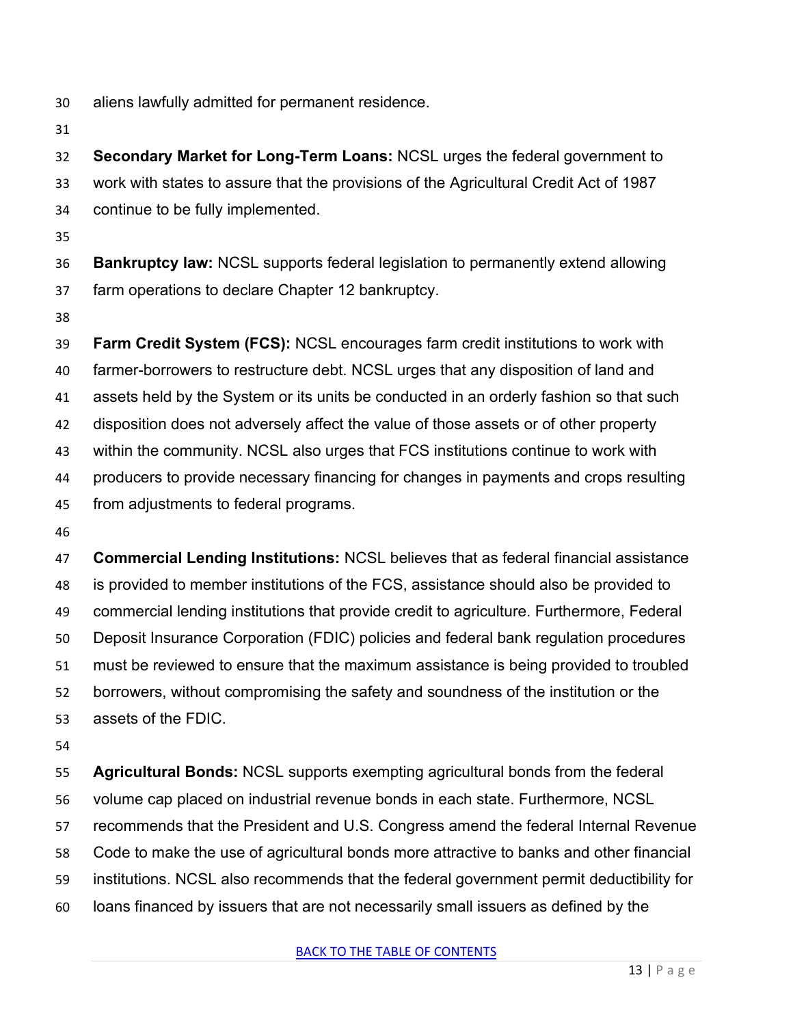- aliens lawfully admitted for permanent residence.
- 

 **Secondary Market for Long-Term Loans:** NCSL urges the federal government to work with states to assure that the provisions of the Agricultural Credit Act of 1987 continue to be fully implemented.

 **Bankruptcy law:** NCSL supports federal legislation to permanently extend allowing farm operations to declare Chapter 12 bankruptcy.

 **Farm Credit System (FCS):** NCSL encourages farm credit institutions to work with farmer-borrowers to restructure debt. NCSL urges that any disposition of land and assets held by the System or its units be conducted in an orderly fashion so that such disposition does not adversely affect the value of those assets or of other property within the community. NCSL also urges that FCS institutions continue to work with producers to provide necessary financing for changes in payments and crops resulting from adjustments to federal programs.

 **Commercial Lending Institutions:** NCSL believes that as federal financial assistance is provided to member institutions of the FCS, assistance should also be provided to commercial lending institutions that provide credit to agriculture. Furthermore, Federal Deposit Insurance Corporation (FDIC) policies and federal bank regulation procedures must be reviewed to ensure that the maximum assistance is being provided to troubled borrowers, without compromising the safety and soundness of the institution or the assets of the FDIC.

 **Agricultural Bonds:** NCSL supports exempting agricultural bonds from the federal volume cap placed on industrial revenue bonds in each state. Furthermore, NCSL recommends that the President and U.S. Congress amend the federal Internal Revenue Code to make the use of agricultural bonds more attractive to banks and other financial institutions. NCSL also recommends that the federal government permit deductibility for loans financed by issuers that are not necessarily small issuers as defined by the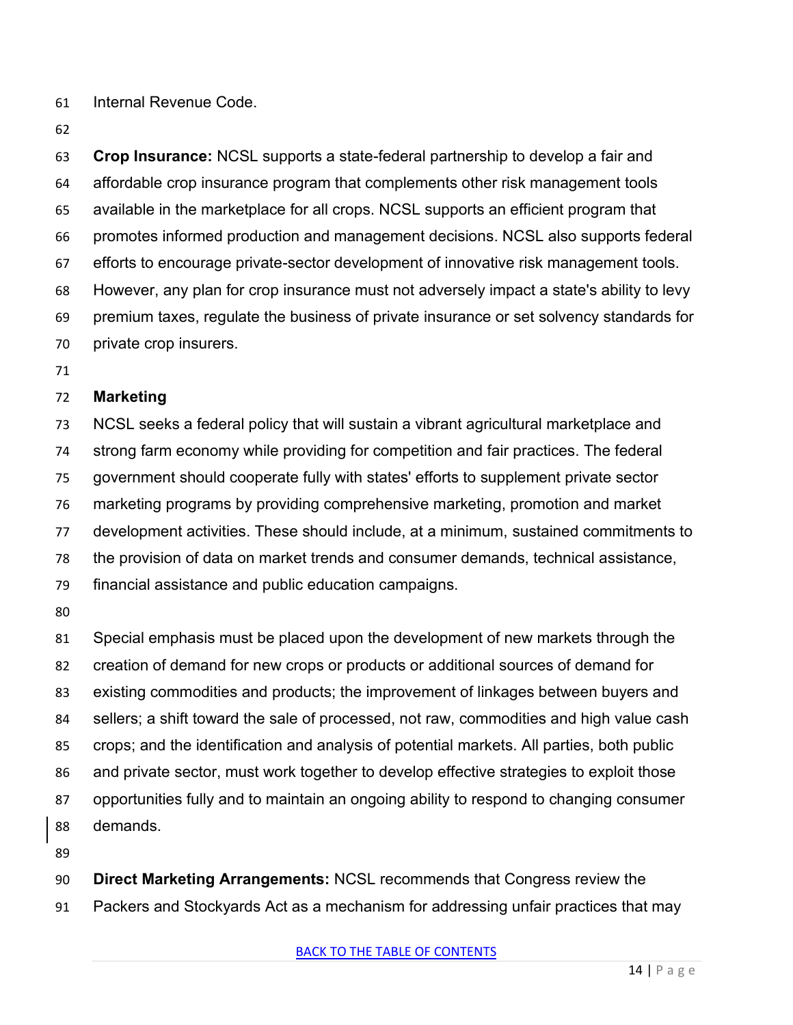Internal Revenue Code.

 **Crop Insurance:** NCSL supports a state-federal partnership to develop a fair and affordable crop insurance program that complements other risk management tools available in the marketplace for all crops. NCSL supports an efficient program that promotes informed production and management decisions. NCSL also supports federal efforts to encourage private-sector development of innovative risk management tools. However, any plan for crop insurance must not adversely impact a state's ability to levy premium taxes, regulate the business of private insurance or set solvency standards for private crop insurers.

#### **Marketing**

 NCSL seeks a federal policy that will sustain a vibrant agricultural marketplace and strong farm economy while providing for competition and fair practices. The federal government should cooperate fully with states' efforts to supplement private sector marketing programs by providing comprehensive marketing, promotion and market development activities. These should include, at a minimum, sustained commitments to the provision of data on market trends and consumer demands, technical assistance, financial assistance and public education campaigns.

 Special emphasis must be placed upon the development of new markets through the creation of demand for new crops or products or additional sources of demand for existing commodities and products; the improvement of linkages between buyers and sellers; a shift toward the sale of processed, not raw, commodities and high value cash crops; and the identification and analysis of potential markets. All parties, both public and private sector, must work together to develop effective strategies to exploit those opportunities fully and to maintain an ongoing ability to respond to changing consumer demands.

 **Direct Marketing Arrangements:** NCSL recommends that Congress review the Packers and Stockyards Act as a mechanism for addressing unfair practices that may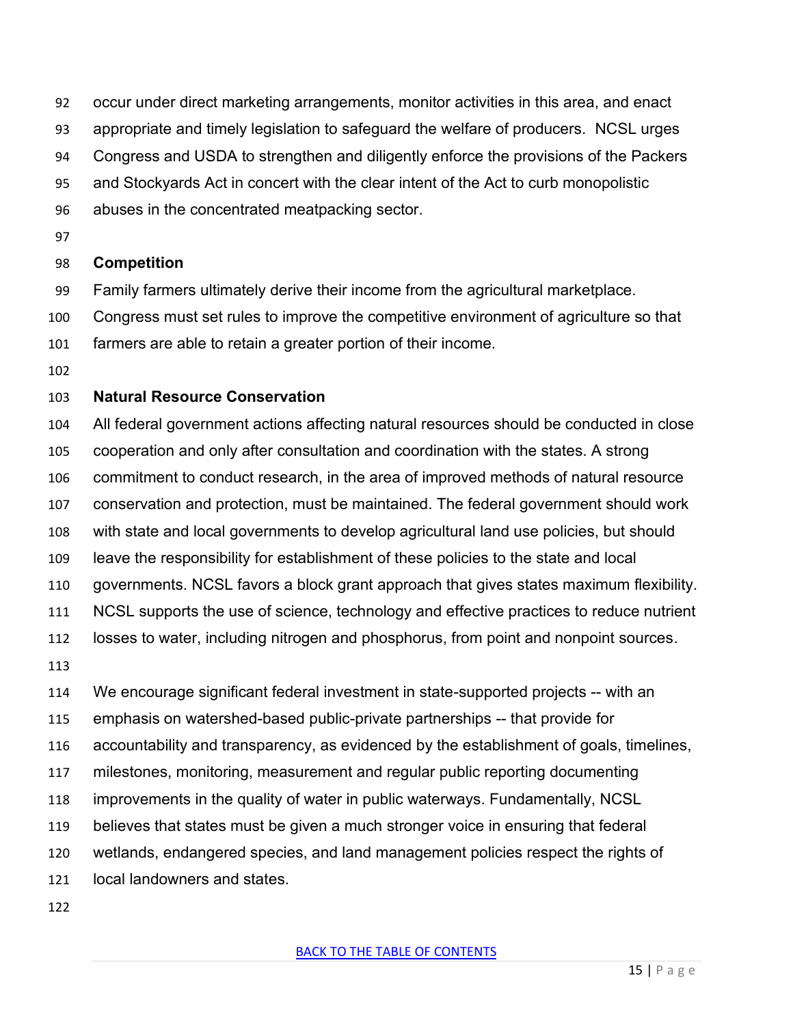- occur under direct marketing arrangements, monitor activities in this area, and enact
- appropriate and timely legislation to safeguard the welfare of producers. NCSL urges
- Congress and USDA to strengthen and diligently enforce the provisions of the Packers
- and Stockyards Act in concert with the clear intent of the Act to curb monopolistic
- abuses in the concentrated meatpacking sector.
- 

#### **Competition**

- Family farmers ultimately derive their income from the agricultural marketplace.
- Congress must set rules to improve the competitive environment of agriculture so that
- farmers are able to retain a greater portion of their income.
- 

#### **Natural Resource Conservation**

- All federal government actions affecting natural resources should be conducted in close cooperation and only after consultation and coordination with the states. A strong commitment to conduct research, in the area of improved methods of natural resource conservation and protection, must be maintained. The federal government should work with state and local governments to develop agricultural land use policies, but should leave the responsibility for establishment of these policies to the state and local governments. NCSL favors a block grant approach that gives states maximum flexibility. NCSL supports the use of science, technology and effective practices to reduce nutrient losses to water, including nitrogen and phosphorus, from point and nonpoint sources. We encourage significant federal investment in state-supported projects -- with an emphasis on watershed-based public-private partnerships -- that provide for
- accountability and transparency, as evidenced by the establishment of goals, timelines,
- milestones, monitoring, measurement and regular public reporting documenting
- improvements in the quality of water in public waterways. Fundamentally, NCSL
- believes that states must be given a much stronger voice in ensuring that federal
- wetlands, endangered species, and land management policies respect the rights of
- local landowners and states.
-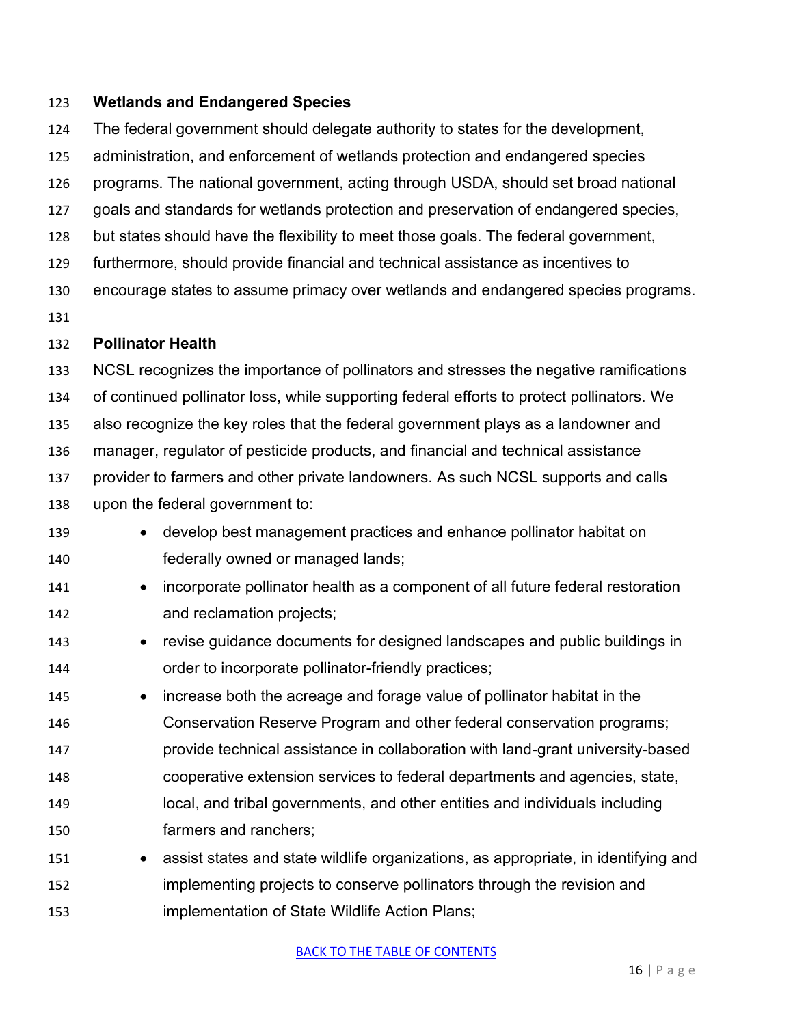#### **Wetlands and Endangered Species**

The federal government should delegate authority to states for the development,

administration, and enforcement of wetlands protection and endangered species

programs. The national government, acting through USDA, should set broad national

goals and standards for wetlands protection and preservation of endangered species,

but states should have the flexibility to meet those goals. The federal government,

furthermore, should provide financial and technical assistance as incentives to

encourage states to assume primacy over wetlands and endangered species programs.

#### **Pollinator Health**

 NCSL recognizes the importance of pollinators and stresses the negative ramifications of continued pollinator loss, while supporting federal efforts to protect pollinators. We also recognize the key roles that the federal government plays as a landowner and manager, regulator of pesticide products, and financial and technical assistance provider to farmers and other private landowners. As such NCSL supports and calls upon the federal government to:

- develop best management practices and enhance pollinator habitat on federally owned or managed lands;
- incorporate pollinator health as a component of all future federal restoration and reclamation projects;
- revise guidance documents for designed landscapes and public buildings in order to incorporate pollinator-friendly practices;
- increase both the acreage and forage value of pollinator habitat in the Conservation Reserve Program and other federal conservation programs; provide technical assistance in collaboration with land-grant university-based cooperative extension services to federal departments and agencies, state, local, and tribal governments, and other entities and individuals including farmers and ranchers;
- assist states and state wildlife organizations, as appropriate, in identifying and implementing projects to conserve pollinators through the revision and implementation of State Wildlife Action Plans;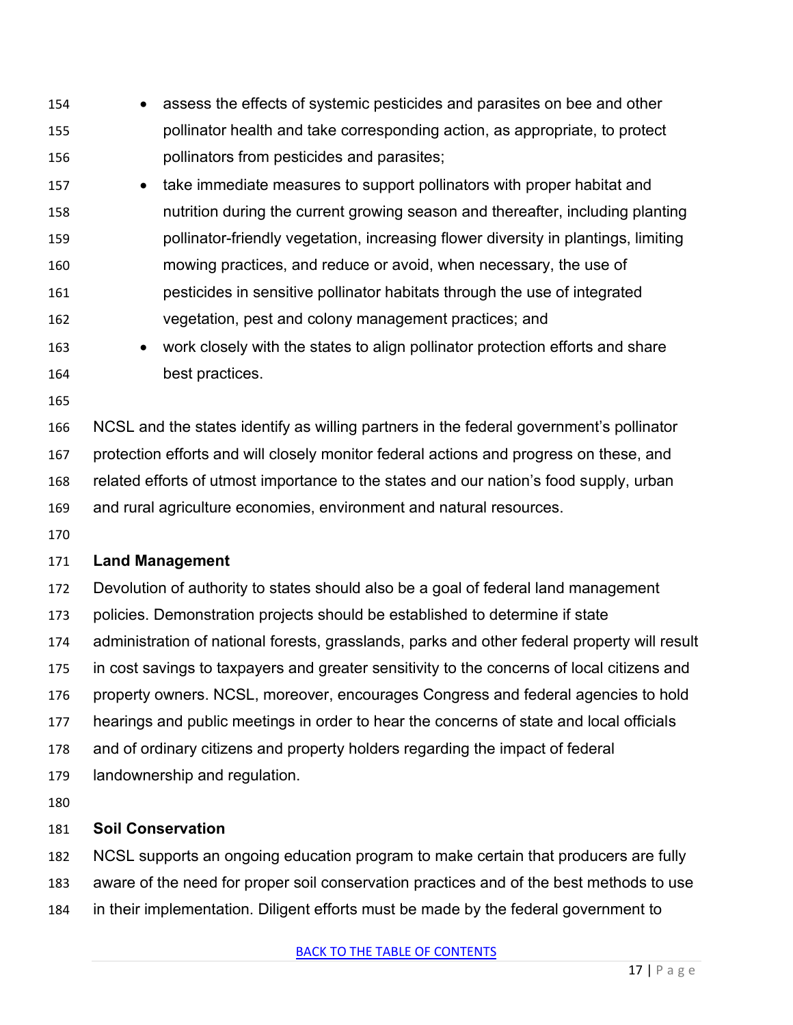- assess the effects of systemic pesticides and parasites on bee and other pollinator health and take corresponding action, as appropriate, to protect pollinators from pesticides and parasites;
- 157 take immediate measures to support pollinators with proper habitat and nutrition during the current growing season and thereafter, including planting pollinator-friendly vegetation, increasing flower diversity in plantings, limiting mowing practices, and reduce or avoid, when necessary, the use of pesticides in sensitive pollinator habitats through the use of integrated vegetation, pest and colony management practices; and
- work closely with the states to align pollinator protection efforts and share best practices.
- 

 NCSL and the states identify as willing partners in the federal government's pollinator protection efforts and will closely monitor federal actions and progress on these, and related efforts of utmost importance to the states and our nation's food supply, urban and rural agriculture economies, environment and natural resources.

#### **Land Management**

 Devolution of authority to states should also be a goal of federal land management policies. Demonstration projects should be established to determine if state administration of national forests, grasslands, parks and other federal property will result in cost savings to taxpayers and greater sensitivity to the concerns of local citizens and property owners. NCSL, moreover, encourages Congress and federal agencies to hold hearings and public meetings in order to hear the concerns of state and local officials and of ordinary citizens and property holders regarding the impact of federal landownership and regulation.

#### **Soil Conservation**

NCSL supports an ongoing education program to make certain that producers are fully

- aware of the need for proper soil conservation practices and of the best methods to use
- in their implementation. Diligent efforts must be made by the federal government to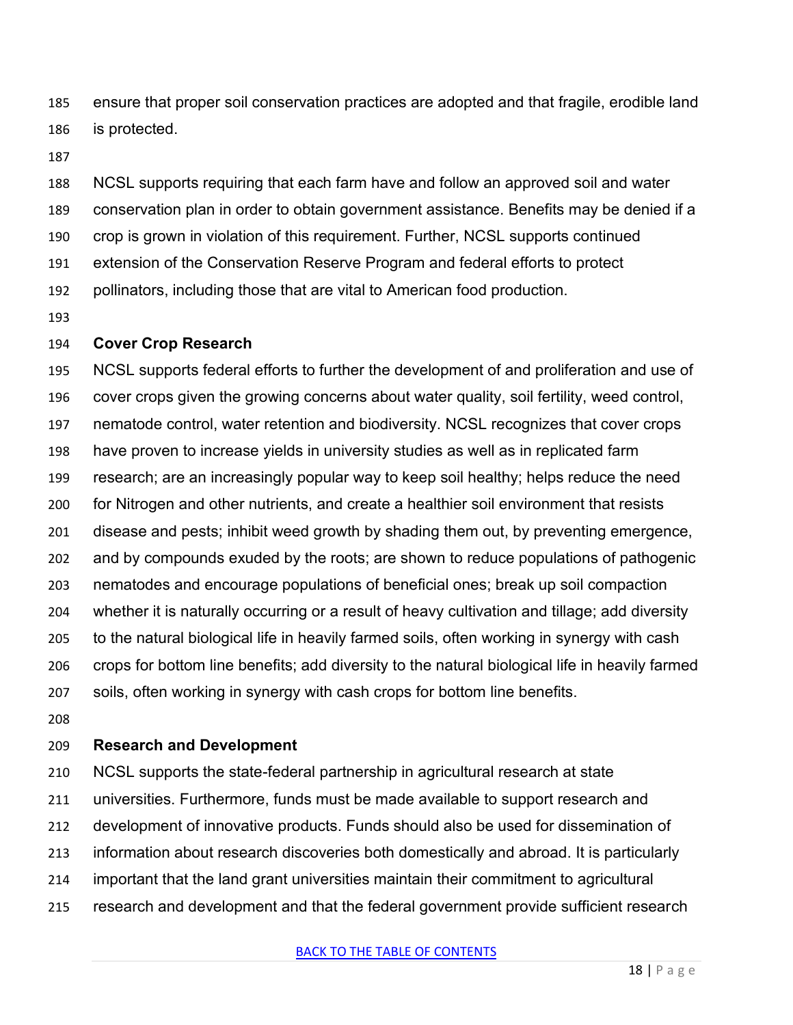ensure that proper soil conservation practices are adopted and that fragile, erodible land is protected.

 NCSL supports requiring that each farm have and follow an approved soil and water conservation plan in order to obtain government assistance. Benefits may be denied if a crop is grown in violation of this requirement. Further, NCSL supports continued extension of the Conservation Reserve Program and federal efforts to protect pollinators, including those that are vital to American food production.

#### **Cover Crop Research**

 NCSL supports federal efforts to further the development of and proliferation and use of cover crops given the growing concerns about water quality, soil fertility, weed control, nematode control, water retention and biodiversity. NCSL recognizes that cover crops have proven to increase yields in university studies as well as in replicated farm research; are an increasingly popular way to keep soil healthy; helps reduce the need for Nitrogen and other nutrients, and create a healthier soil environment that resists disease and pests; inhibit weed growth by shading them out, by preventing emergence, and by compounds exuded by the roots; are shown to reduce populations of pathogenic nematodes and encourage populations of beneficial ones; break up soil compaction whether it is naturally occurring or a result of heavy cultivation and tillage; add diversity to the natural biological life in heavily farmed soils, often working in synergy with cash crops for bottom line benefits; add diversity to the natural biological life in heavily farmed soils, often working in synergy with cash crops for bottom line benefits.

#### **Research and Development**

NCSL supports the state-federal partnership in agricultural research at state

universities. Furthermore, funds must be made available to support research and

- development of innovative products. Funds should also be used for dissemination of
- information about research discoveries both domestically and abroad. It is particularly
- important that the land grant universities maintain their commitment to agricultural
- research and development and that the federal government provide sufficient research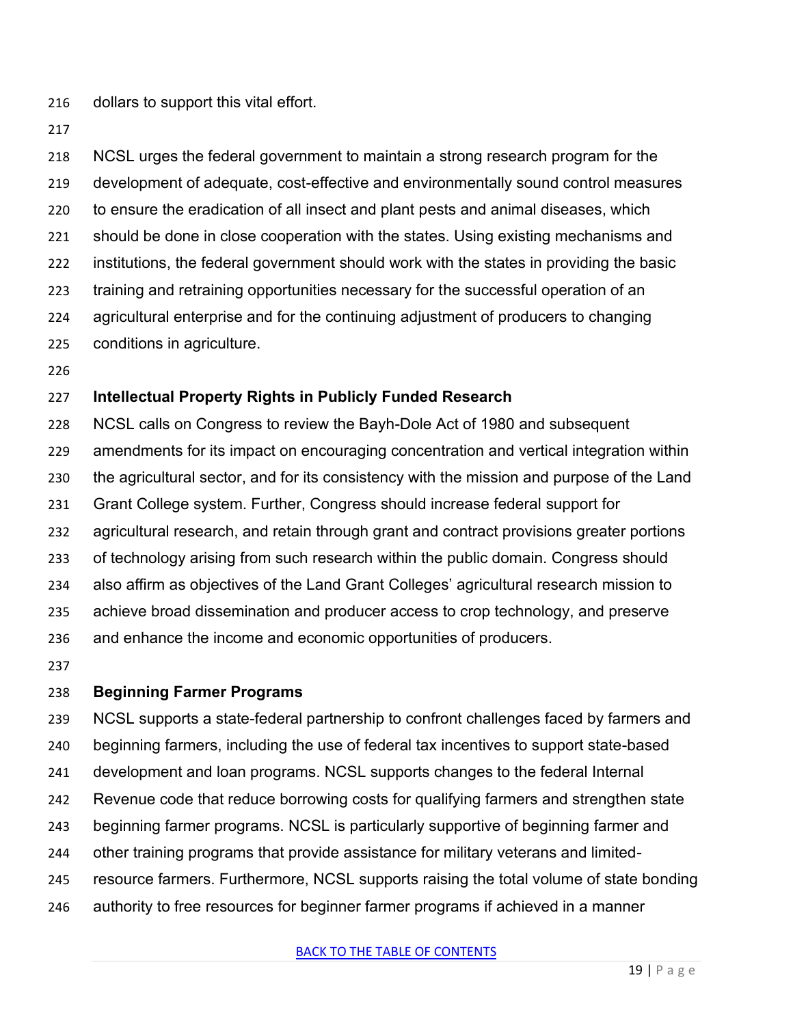dollars to support this vital effort.

 NCSL urges the federal government to maintain a strong research program for the development of adequate, cost-effective and environmentally sound control measures to ensure the eradication of all insect and plant pests and animal diseases, which should be done in close cooperation with the states. Using existing mechanisms and institutions, the federal government should work with the states in providing the basic training and retraining opportunities necessary for the successful operation of an agricultural enterprise and for the continuing adjustment of producers to changing conditions in agriculture.

#### **Intellectual Property Rights in Publicly Funded Research**

 NCSL calls on Congress to review the Bayh-Dole Act of 1980 and subsequent amendments for its impact on encouraging concentration and vertical integration within the agricultural sector, and for its consistency with the mission and purpose of the Land Grant College system. Further, Congress should increase federal support for agricultural research, and retain through grant and contract provisions greater portions of technology arising from such research within the public domain. Congress should also affirm as objectives of the Land Grant Colleges' agricultural research mission to achieve broad dissemination and producer access to crop technology, and preserve and enhance the income and economic opportunities of producers.

#### **Beginning Farmer Programs**

 NCSL supports a state-federal partnership to confront challenges faced by farmers and beginning farmers, including the use of federal tax incentives to support state-based development and loan programs. NCSL supports changes to the federal Internal Revenue code that reduce borrowing costs for qualifying farmers and strengthen state beginning farmer programs. NCSL is particularly supportive of beginning farmer and other training programs that provide assistance for military veterans and limited- resource farmers. Furthermore, NCSL supports raising the total volume of state bonding authority to free resources for beginner farmer programs if achieved in a manner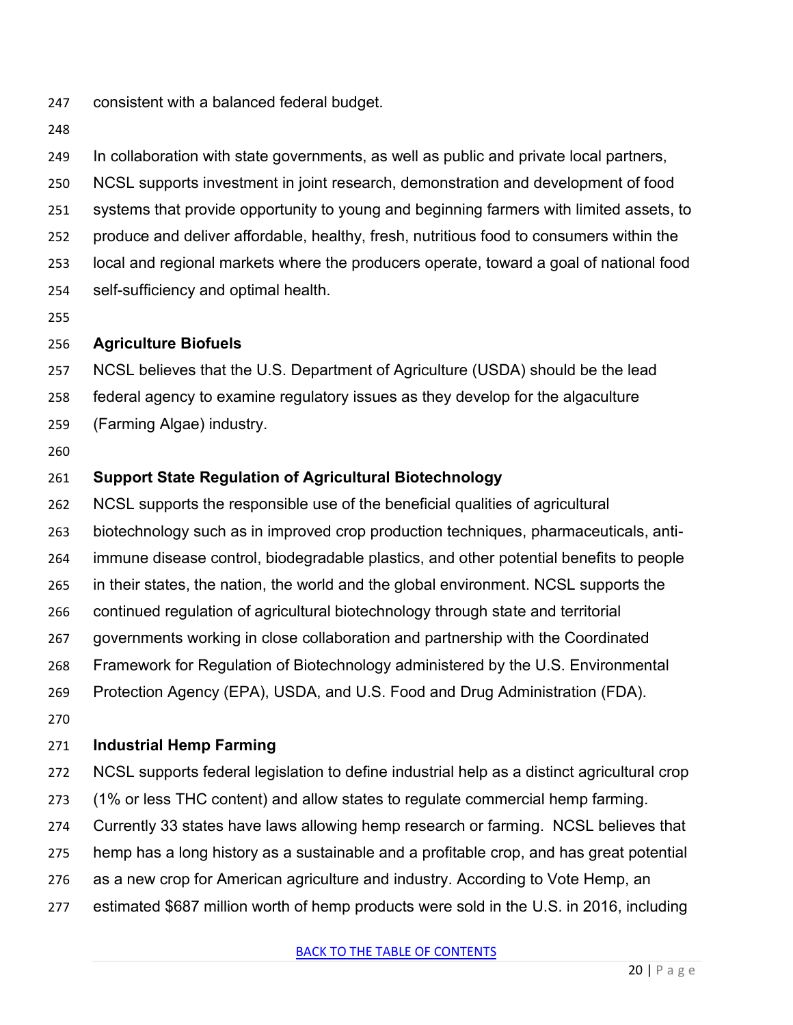- consistent with a balanced federal budget.
- 

In collaboration with state governments, as well as public and private local partners,

NCSL supports investment in joint research, demonstration and development of food

systems that provide opportunity to young and beginning farmers with limited assets, to

produce and deliver affordable, healthy, fresh, nutritious food to consumers within the

- local and regional markets where the producers operate, toward a goal of national food
- self-sufficiency and optimal health.
- 

#### **Agriculture Biofuels**

NCSL believes that the U.S. Department of Agriculture (USDA) should be the lead

- federal agency to examine regulatory issues as they develop for the algaculture
- (Farming Algae) industry.
- 

## **Support State Regulation of Agricultural Biotechnology**

NCSL supports the responsible use of the beneficial qualities of agricultural

biotechnology such as in improved crop production techniques, pharmaceuticals, anti-

immune disease control, biodegradable plastics, and other potential benefits to people

- in their states, the nation, the world and the global environment. NCSL supports the
- continued regulation of agricultural biotechnology through state and territorial
- governments working in close collaboration and partnership with the Coordinated
- Framework for Regulation of Biotechnology administered by the U.S. Environmental

Protection Agency (EPA), USDA, and U.S. Food and Drug Administration (FDA).

## **Industrial Hemp Farming**

- NCSL supports federal legislation to define industrial help as a distinct agricultural crop
- (1% or less THC content) and allow states to regulate commercial hemp farming.
- Currently 33 states have laws allowing hemp research or farming. NCSL believes that
- hemp has a long history as a sustainable and a profitable crop, and has great potential
- as a new crop for American agriculture and industry. According to Vote Hemp, an
- estimated \$687 million worth of hemp products were sold in the U.S. in 2016, including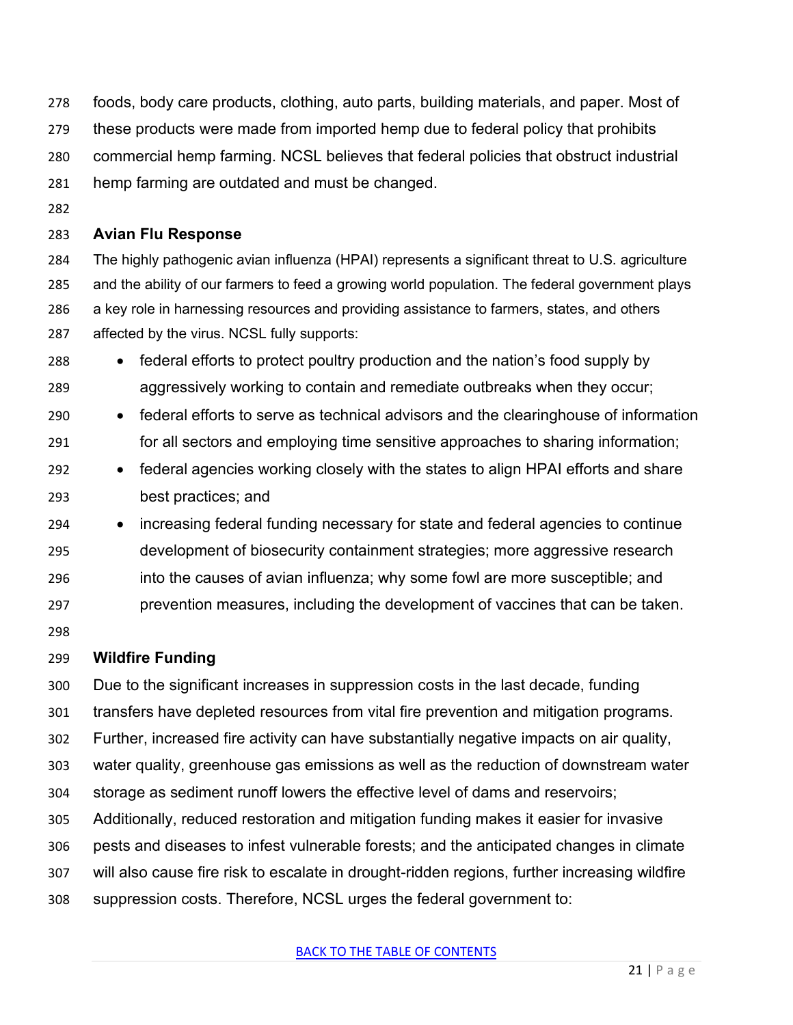- foods, body care products, clothing, auto parts, building materials, and paper. Most of
- these products were made from imported hemp due to federal policy that prohibits
- commercial hemp farming. NCSL believes that federal policies that obstruct industrial
- hemp farming are outdated and must be changed.
- 

#### **Avian Flu Response**

 The highly pathogenic avian influenza (HPAI) represents a significant threat to U.S. agriculture and the ability of our farmers to feed a growing world population. The federal government plays 286 a key role in harnessing resources and providing assistance to farmers, states, and others affected by the virus. NCSL fully supports:

- federal efforts to protect poultry production and the nation's food supply by aggressively working to contain and remediate outbreaks when they occur;
- federal efforts to serve as technical advisors and the clearinghouse of information for all sectors and employing time sensitive approaches to sharing information;
- federal agencies working closely with the states to align HPAI efforts and share best practices; and
- increasing federal funding necessary for state and federal agencies to continue development of biosecurity containment strategies; more aggressive research into the causes of avian influenza; why some fowl are more susceptible; and prevention measures, including the development of vaccines that can be taken.
- 

#### **Wildfire Funding**

Due to the significant increases in suppression costs in the last decade, funding

- transfers have depleted resources from vital fire prevention and mitigation programs.
- Further, increased fire activity can have substantially negative impacts on air quality,
- water quality, greenhouse gas emissions as well as the reduction of downstream water
- storage as sediment runoff lowers the effective level of dams and reservoirs;
- Additionally, reduced restoration and mitigation funding makes it easier for invasive
- pests and diseases to infest vulnerable forests; and the anticipated changes in climate
- will also cause fire risk to escalate in drought-ridden regions, further increasing wildfire
- suppression costs. Therefore, NCSL urges the federal government to: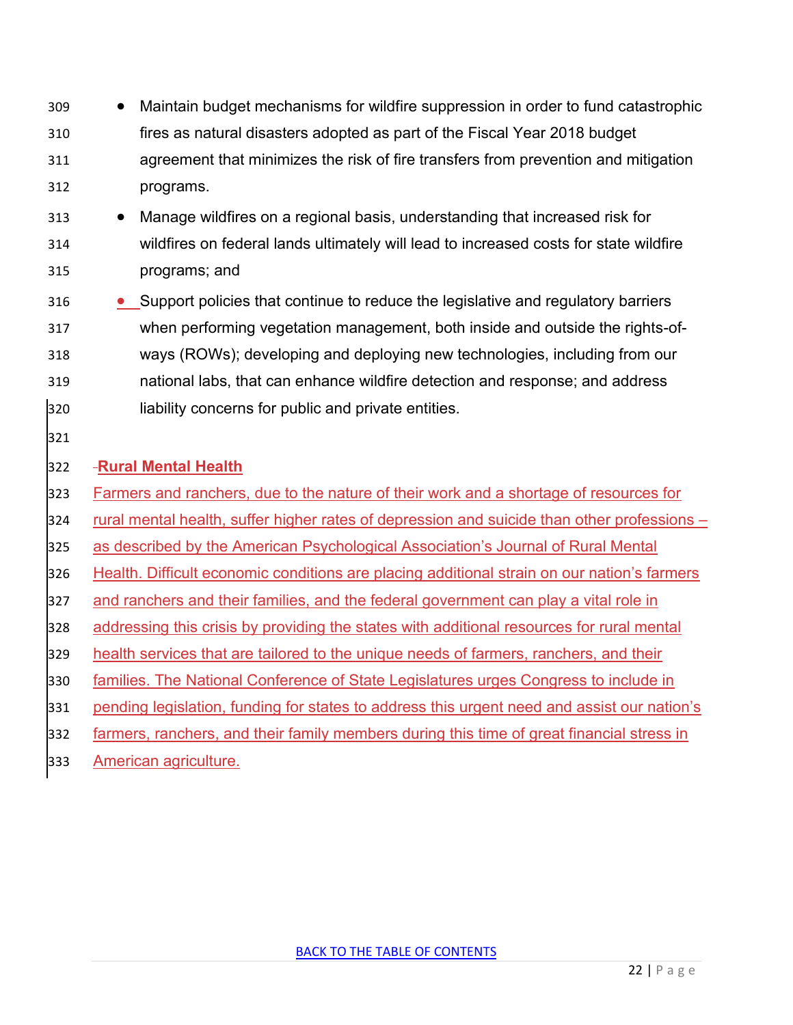- Maintain budget mechanisms for wildfire suppression in order to fund catastrophic fires as natural disasters adopted as part of the Fiscal Year 2018 budget agreement that minimizes the risk of fire transfers from prevention and mitigation programs.
- Manage wildfires on a regional basis, understanding that increased risk for wildfires on federal lands ultimately will lead to increased costs for state wildfire programs; and
- Support policies that continue to reduce the legislative and regulatory barriers when performing vegetation management, both inside and outside the rights-of- ways (ROWs); developing and deploying new technologies, including from our national labs, that can enhance wildfire detection and response; and address liability concerns for public and private entities.
- 

## **Rural Mental Health**

- Farmers and ranchers, due to the nature of their work and a shortage of resources for
- rural mental health, suffer higher rates of depression and suicide than other professions –
- as described by the American Psychological Association's Journal of Rural Mental
- Health. Difficult economic conditions are placing additional strain on our nation's farmers
- and ranchers and their families, and the federal government can play a vital role in
- addressing this crisis by providing the states with additional resources for rural mental
- health services that are tailored to the unique needs of farmers, ranchers, and their
- families. The National Conference of State Legislatures urges Congress to include in
- pending legislation, funding for states to address this urgent need and assist our nation's
- farmers, ranchers, and their family members during this time of great financial stress in
- American agriculture.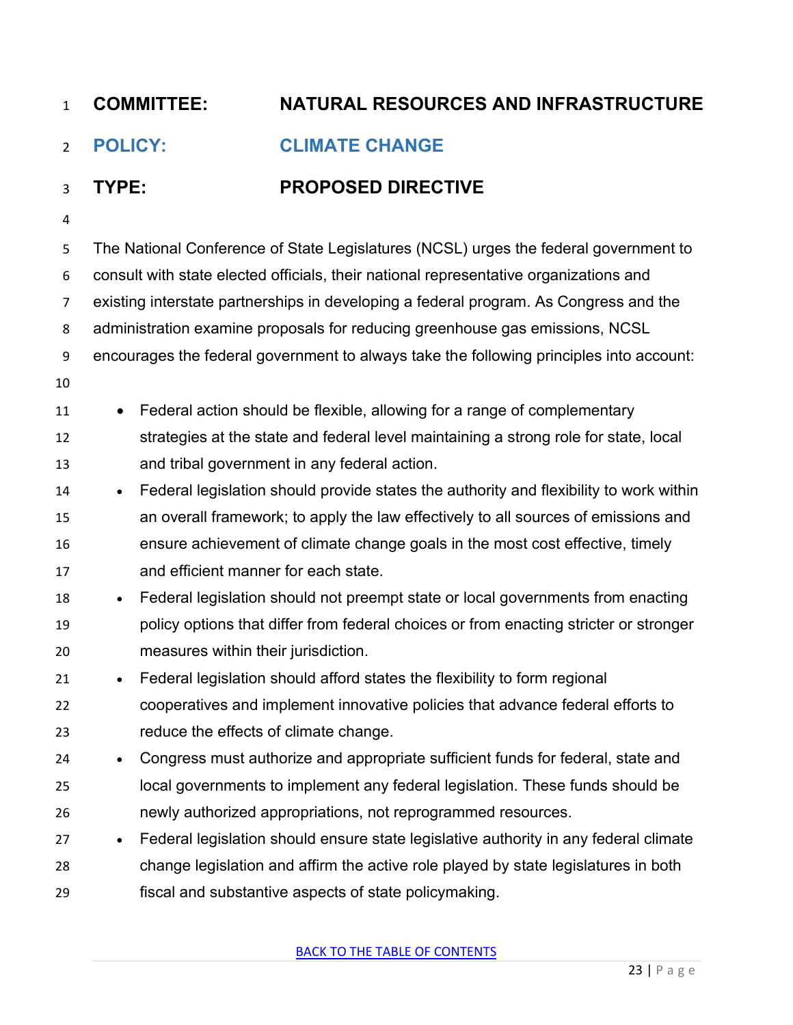# <span id="page-22-0"></span>**POLICY: CLIMATE CHANGE**

## **TYPE: PROPOSED DIRECTIVE**

 The National Conference of State Legislatures (NCSL) urges the federal government to consult with state elected officials, their national representative organizations and existing interstate partnerships in developing a federal program. As Congress and the administration examine proposals for reducing greenhouse gas emissions, NCSL encourages the federal government to always take the following principles into account: 11 • Federal action should be flexible, allowing for a range of complementary strategies at the state and federal level maintaining a strong role for state, local and tribal government in any federal action. 14 • Federal legislation should provide states the authority and flexibility to work within an overall framework; to apply the law effectively to all sources of emissions and ensure achievement of climate change goals in the most cost effective, timely and efficient manner for each state. • Federal legislation should not preempt state or local governments from enacting policy options that differ from federal choices or from enacting stricter or stronger measures within their jurisdiction. • Federal legislation should afford states the flexibility to form regional cooperatives and implement innovative policies that advance federal efforts to reduce the effects of climate change. • Congress must authorize and appropriate sufficient funds for federal, state and local governments to implement any federal legislation. These funds should be newly authorized appropriations, not reprogrammed resources. • Federal legislation should ensure state legislative authority in any federal climate change legislation and affirm the active role played by state legislatures in both fiscal and substantive aspects of state policymaking.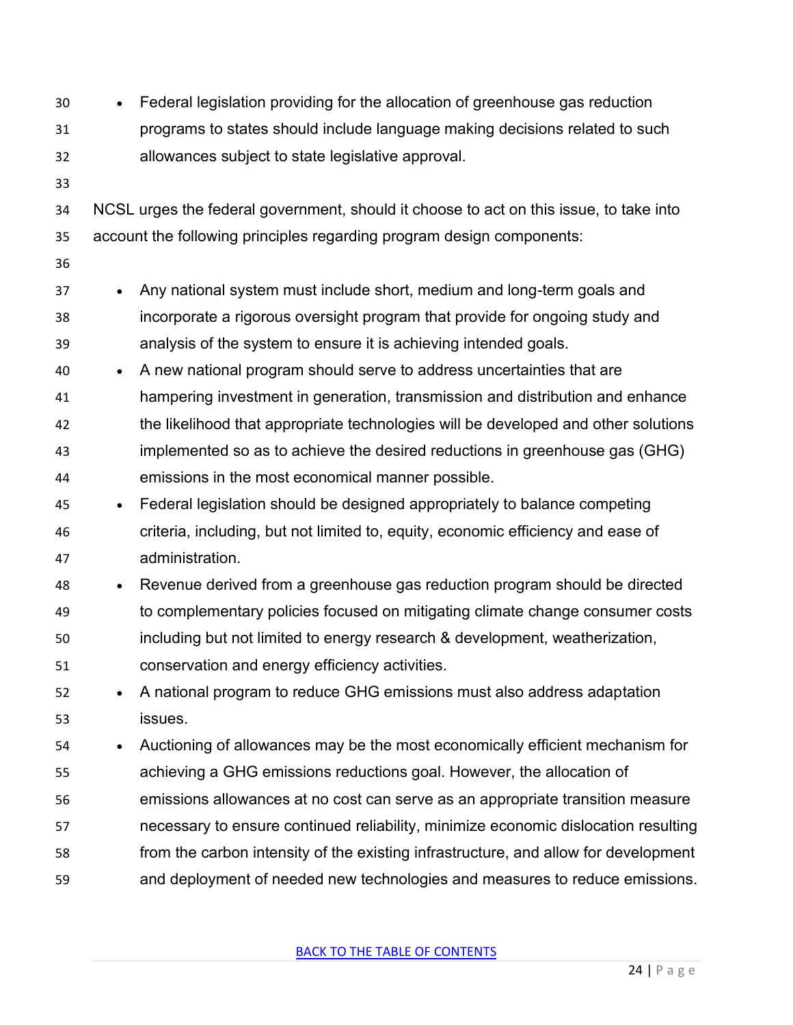• Federal legislation providing for the allocation of greenhouse gas reduction programs to states should include language making decisions related to such allowances subject to state legislative approval. NCSL urges the federal government, should it choose to act on this issue, to take into account the following principles regarding program design components: • Any national system must include short, medium and long-term goals and incorporate a rigorous oversight program that provide for ongoing study and analysis of the system to ensure it is achieving intended goals. • A new national program should serve to address uncertainties that are hampering investment in generation, transmission and distribution and enhance the likelihood that appropriate technologies will be developed and other solutions implemented so as to achieve the desired reductions in greenhouse gas (GHG) emissions in the most economical manner possible. • Federal legislation should be designed appropriately to balance competing criteria, including, but not limited to, equity, economic efficiency and ease of administration. • Revenue derived from a greenhouse gas reduction program should be directed to complementary policies focused on mitigating climate change consumer costs including but not limited to energy research & development, weatherization, conservation and energy efficiency activities. • A national program to reduce GHG emissions must also address adaptation issues. • Auctioning of allowances may be the most economically efficient mechanism for achieving a GHG emissions reductions goal. However, the allocation of emissions allowances at no cost can serve as an appropriate transition measure necessary to ensure continued reliability, minimize economic dislocation resulting from the carbon intensity of the existing infrastructure, and allow for development and deployment of needed new technologies and measures to reduce emissions.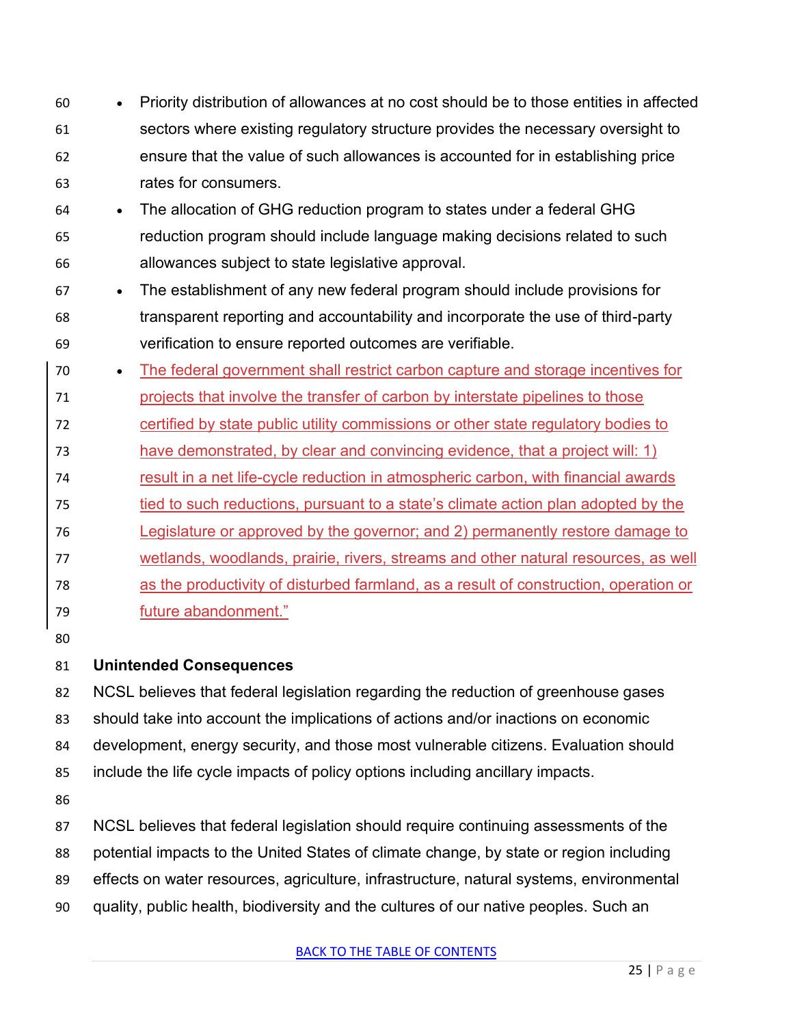- Priority distribution of allowances at no cost should be to those entities in affected sectors where existing regulatory structure provides the necessary oversight to ensure that the value of such allowances is accounted for in establishing price rates for consumers.
- The allocation of GHG reduction program to states under a federal GHG reduction program should include language making decisions related to such allowances subject to state legislative approval.
- The establishment of any new federal program should include provisions for transparent reporting and accountability and incorporate the use of third-party verification to ensure reported outcomes are verifiable.
- The federal government shall restrict carbon capture and storage incentives for projects that involve the transfer of carbon by interstate pipelines to those certified by state public utility commissions or other state regulatory bodies to have demonstrated, by clear and convincing evidence, that a project will: 1) result in a net life-cycle reduction in atmospheric carbon, with financial awards 75 tied to such reductions, pursuant to a state's climate action plan adopted by the Legislature or approved by the governor; and 2) permanently restore damage to
- wetlands, woodlands, prairie, rivers, streams and other natural resources, as well
- as the productivity of disturbed farmland, as a result of construction, operation or
- future abandonment."
- 

# **Unintended Consequences**

NCSL believes that federal legislation regarding the reduction of greenhouse gases

- should take into account the implications of actions and/or inactions on economic
- development, energy security, and those most vulnerable citizens. Evaluation should
- include the life cycle impacts of policy options including ancillary impacts.

NCSL believes that federal legislation should require continuing assessments of the

- potential impacts to the United States of climate change, by state or region including
- effects on water resources, agriculture, infrastructure, natural systems, environmental
- quality, public health, biodiversity and the cultures of our native peoples. Such an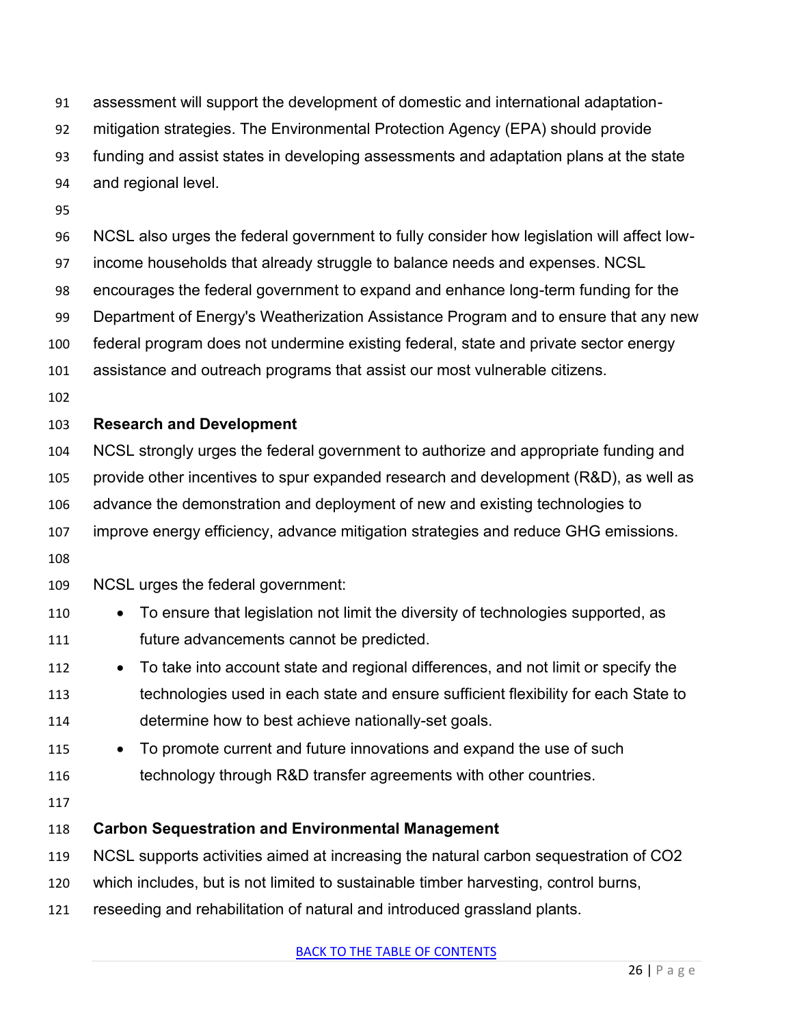assessment will support the development of domestic and international adaptation-

- mitigation strategies. The Environmental Protection Agency (EPA) should provide
- funding and assist states in developing assessments and adaptation plans at the state
- and regional level.
- 
- NCSL also urges the federal government to fully consider how legislation will affect low-
- income households that already struggle to balance needs and expenses. NCSL
- encourages the federal government to expand and enhance long-term funding for the
- Department of Energy's Weatherization Assistance Program and to ensure that any new
- federal program does not undermine existing federal, state and private sector energy
- assistance and outreach programs that assist our most vulnerable citizens.
- 

## **Research and Development**

- NCSL strongly urges the federal government to authorize and appropriate funding and
- provide other incentives to spur expanded research and development (R&D), as well as
- advance the demonstration and deployment of new and existing technologies to
- improve energy efficiency, advance mitigation strategies and reduce GHG emissions.
- NCSL urges the federal government:
- 110 To ensure that legislation not limit the diversity of technologies supported, as future advancements cannot be predicted.
- To take into account state and regional differences, and not limit or specify the technologies used in each state and ensure sufficient flexibility for each State to determine how to best achieve nationally-set goals.
- 115 To promote current and future innovations and expand the use of such 116 technology through R&D transfer agreements with other countries.
- 

## **Carbon Sequestration and Environmental Management**

- NCSL supports activities aimed at increasing the natural carbon sequestration of CO2
- which includes, but is not limited to sustainable timber harvesting, control burns,
- reseeding and rehabilitation of natural and introduced grassland plants.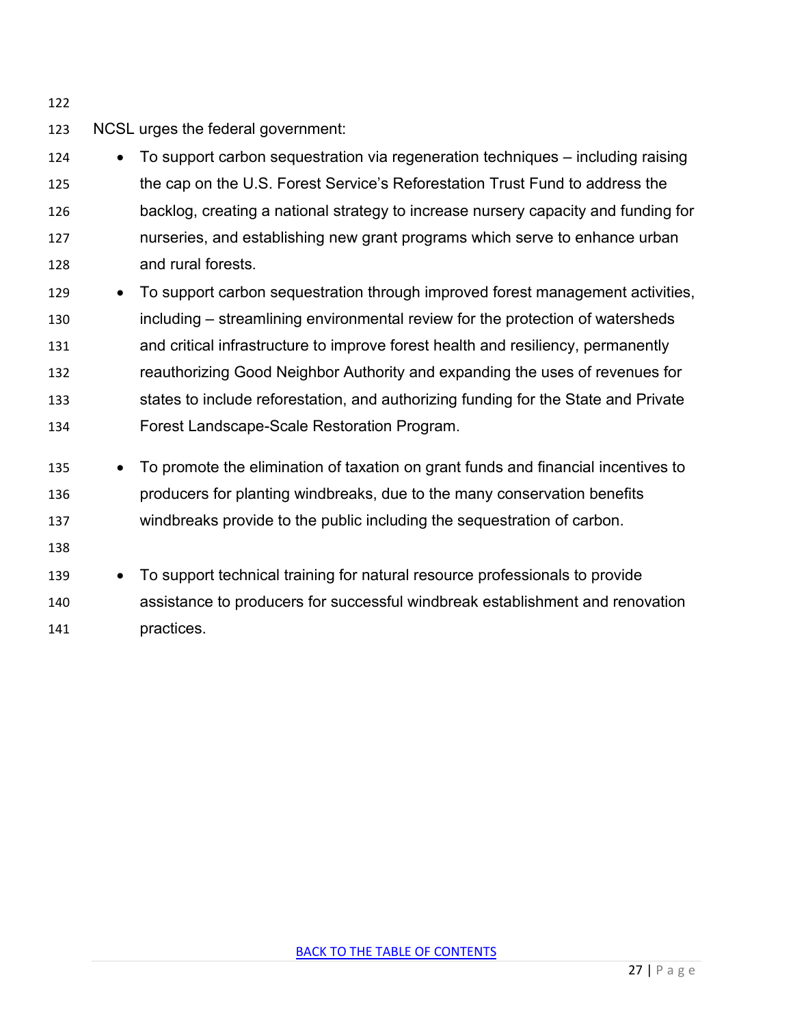NCSL urges the federal government:

 • To support carbon sequestration via regeneration techniques – including raising the cap on the U.S. Forest Service's Reforestation Trust Fund to address the backlog, creating a national strategy to increase nursery capacity and funding for nurseries, and establishing new grant programs which serve to enhance urban and rural forests.

- To support carbon sequestration through improved forest management activities, including – streamlining environmental review for the protection of watersheds and critical infrastructure to improve forest health and resiliency, permanently reauthorizing Good Neighbor Authority and expanding the uses of revenues for states to include reforestation, and authorizing funding for the State and Private Forest Landscape-Scale Restoration Program.
- To promote the elimination of taxation on grant funds and financial incentives to producers for planting windbreaks, due to the many conservation benefits windbreaks provide to the public including the sequestration of carbon.
- 
- To support technical training for natural resource professionals to provide assistance to producers for successful windbreak establishment and renovation practices.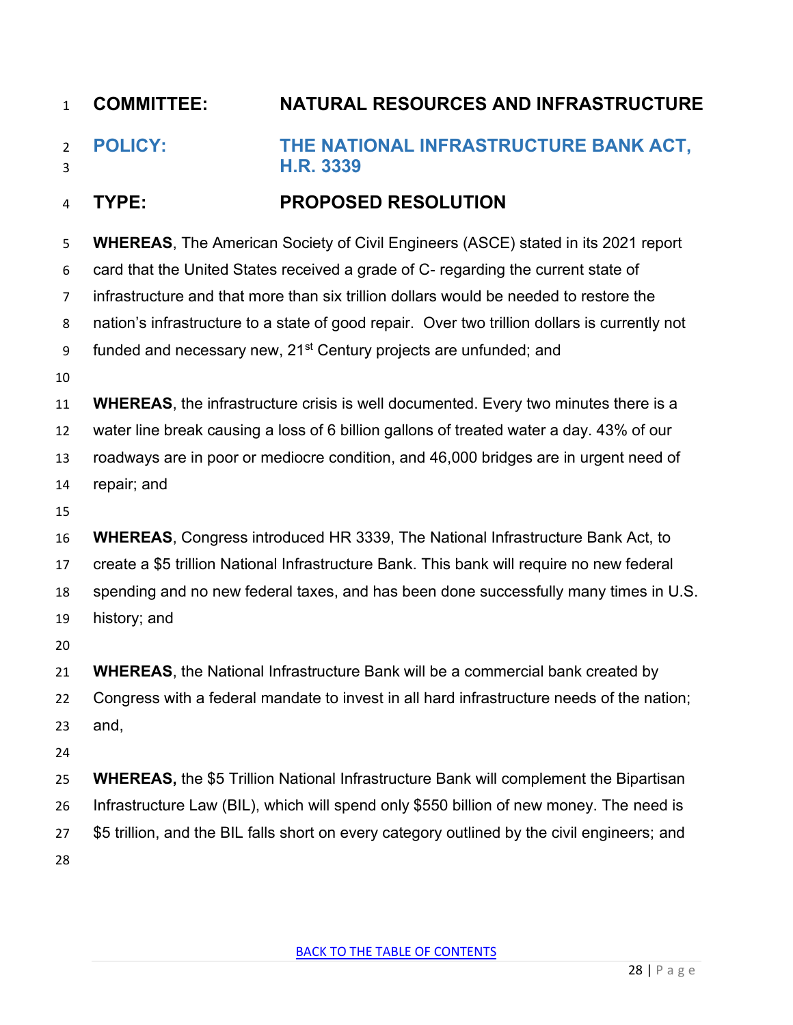<span id="page-27-0"></span> **POLICY: THE NATIONAL INFRASTRUCTURE BANK ACT, H.R. 3339**

## **TYPE: PROPOSED RESOLUTION**

| 5              | <b>WHEREAS, The American Society of Civil Engineers (ASCE) stated in its 2021 report</b>      |
|----------------|-----------------------------------------------------------------------------------------------|
| 6              | card that the United States received a grade of C- regarding the current state of             |
| $\overline{7}$ | infrastructure and that more than six trillion dollars would be needed to restore the         |
| 8              | nation's infrastructure to a state of good repair. Over two trillion dollars is currently not |
| 9              | funded and necessary new, 21 <sup>st</sup> Century projects are unfunded; and                 |
| 10             |                                                                                               |
| 11             | <b>WHEREAS</b> , the infrastructure crisis is well documented. Every two minutes there is a   |
| 12             | water line break causing a loss of 6 billion gallons of treated water a day. 43% of our       |
| 13             | roadways are in poor or mediocre condition, and 46,000 bridges are in urgent need of          |
| 14             | repair; and                                                                                   |
| 15             |                                                                                               |
| 16             | <b>WHEREAS, Congress introduced HR 3339, The National Infrastructure Bank Act, to</b>         |
| 17             | create a \$5 trillion National Infrastructure Bank. This bank will require no new federal     |
| 18             | spending and no new federal taxes, and has been done successfully many times in U.S.          |
| 19             | history; and                                                                                  |
| 20             |                                                                                               |
| 21             | <b>WHEREAS, the National Infrastructure Bank will be a commercial bank created by</b>         |
| 22             | Congress with a federal mandate to invest in all hard infrastructure needs of the nation;     |
| 23             | and,                                                                                          |
| 24             |                                                                                               |
| 25             | <b>WHEREAS, the \$5 Trillion National Infrastructure Bank will complement the Bipartisan</b>  |
| 26             | Infrastructure Law (BIL), which will spend only \$550 billion of new money. The need is       |
| 27             | \$5 trillion, and the BIL falls short on every category outlined by the civil engineers; and  |
| 28             |                                                                                               |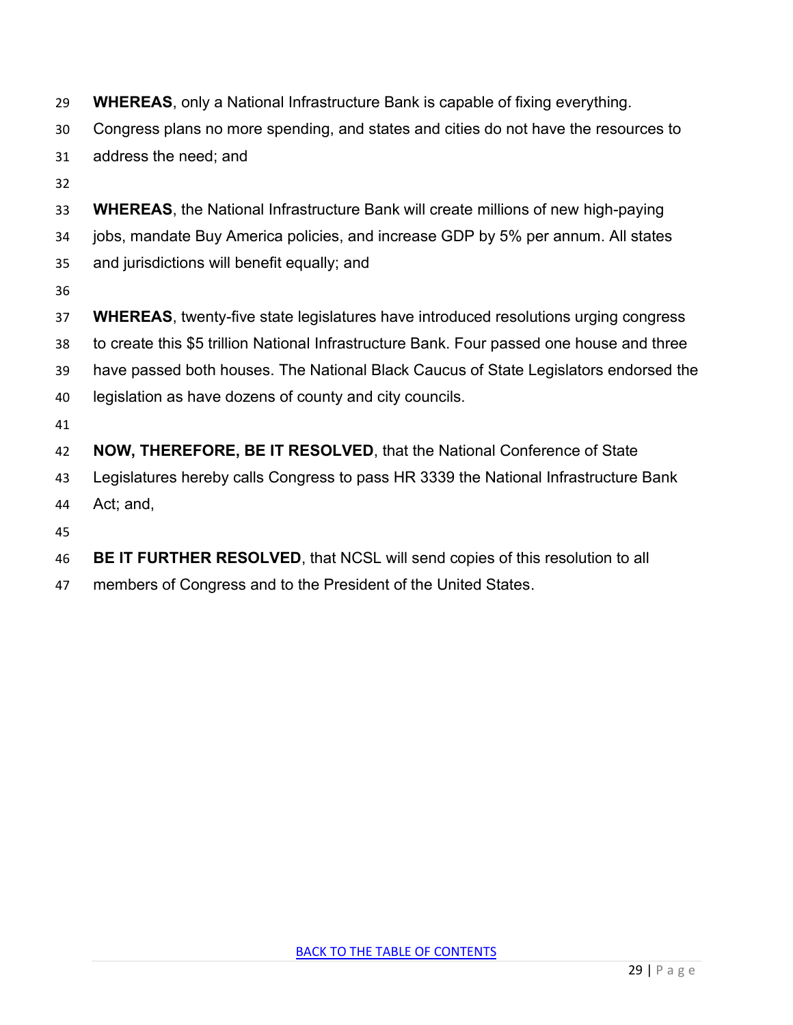- **WHEREAS**, only a National Infrastructure Bank is capable of fixing everything.
- Congress plans no more spending, and states and cities do not have the resources to

address the need; and

- 
- **WHEREAS**, the National Infrastructure Bank will create millions of new high-paying
- jobs, mandate Buy America policies, and increase GDP by 5% per annum. All states
- and jurisdictions will benefit equally; and
- 
- **WHEREAS**, twenty-five state legislatures have introduced resolutions urging congress
- to create this \$5 trillion National Infrastructure Bank. Four passed one house and three
- have passed both houses. The National Black Caucus of State Legislators endorsed the
- legislation as have dozens of county and city councils.
- 

**NOW, THEREFORE, BE IT RESOLVED**, that the National Conference of State

- Legislatures hereby calls Congress to pass HR 3339 the National Infrastructure Bank
- Act; and,
- 
- **BE IT FURTHER RESOLVED**, that NCSL will send copies of this resolution to all
- members of Congress and to the President of the United States.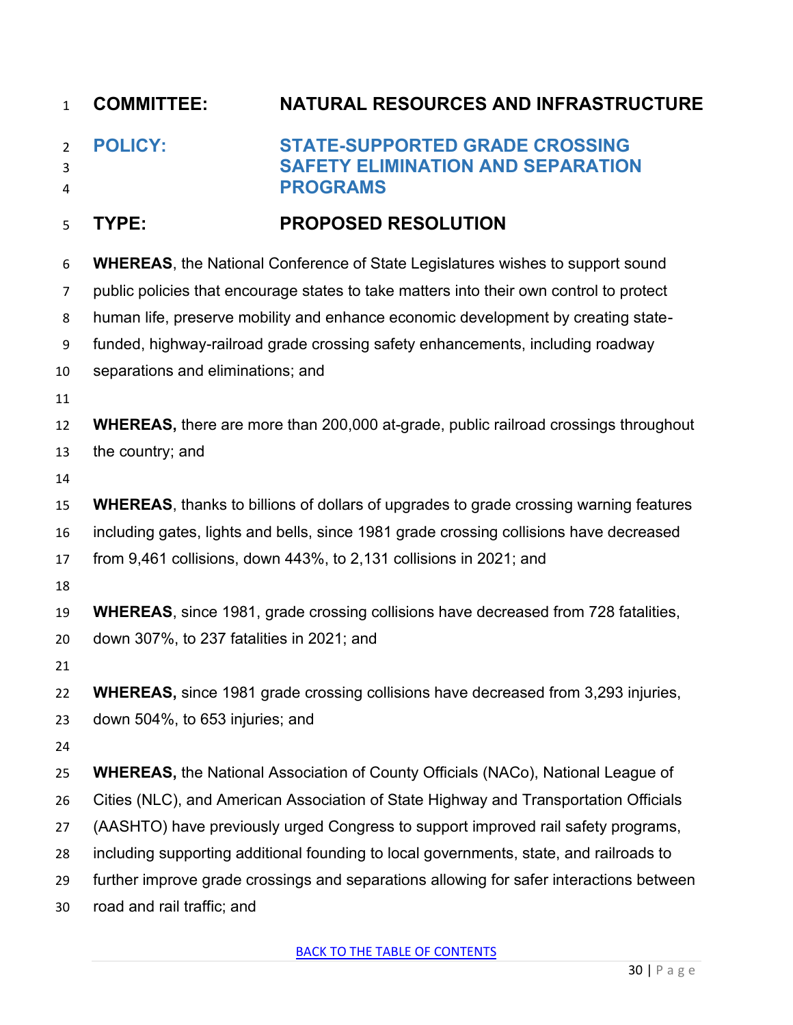<span id="page-29-0"></span>

| $\mathbf{1}$             | <b>COMMITTEE:</b>                         | NATURAL RESOURCES AND INFRASTRUCTURE                                                                 |
|--------------------------|-------------------------------------------|------------------------------------------------------------------------------------------------------|
| $\overline{2}$<br>3<br>4 | <b>POLICY:</b>                            | <b>STATE-SUPPORTED GRADE CROSSING</b><br><b>SAFETY ELIMINATION AND SEPARATION</b><br><b>PROGRAMS</b> |
| 5                        | TYPE:                                     | <b>PROPOSED RESOLUTION</b>                                                                           |
| 6                        |                                           | <b>WHEREAS, the National Conference of State Legislatures wishes to support sound</b>                |
| 7                        |                                           | public policies that encourage states to take matters into their own control to protect              |
| 8                        |                                           | human life, preserve mobility and enhance economic development by creating state-                    |
| 9                        |                                           | funded, highway-railroad grade crossing safety enhancements, including roadway                       |
| 10                       | separations and eliminations; and         |                                                                                                      |
| 11                       |                                           |                                                                                                      |
| 12                       |                                           | <b>WHEREAS, there are more than 200,000 at-grade, public railroad crossings throughout</b>           |
| 13                       | the country; and                          |                                                                                                      |
| 14                       |                                           |                                                                                                      |
| 15                       |                                           | <b>WHEREAS, thanks to billions of dollars of upgrades to grade crossing warning features</b>         |
| 16                       |                                           | including gates, lights and bells, since 1981 grade crossing collisions have decreased               |
| 17                       |                                           | from 9,461 collisions, down 443%, to 2,131 collisions in 2021; and                                   |
| 18                       |                                           |                                                                                                      |
| 19                       |                                           | <b>WHEREAS, since 1981, grade crossing collisions have decreased from 728 fatalities,</b>            |
| 20                       | down 307%, to 237 fatalities in 2021; and |                                                                                                      |
| 21                       |                                           |                                                                                                      |
| 22                       |                                           | <b>WHEREAS, since 1981 grade crossing collisions have decreased from 3,293 injuries,</b>             |
| 23                       | down 504%, to 653 injuries; and           |                                                                                                      |
| 24                       |                                           |                                                                                                      |
| 25                       |                                           | <b>WHEREAS, the National Association of County Officials (NACo), National League of</b>              |
| 26                       |                                           | Cities (NLC), and American Association of State Highway and Transportation Officials                 |
| 27                       |                                           | (AASHTO) have previously urged Congress to support improved rail safety programs,                    |
| 28                       |                                           | including supporting additional founding to local governments, state, and railroads to               |
| 29                       |                                           | further improve grade crossings and separations allowing for safer interactions between              |
| 30                       | road and rail traffic; and                |                                                                                                      |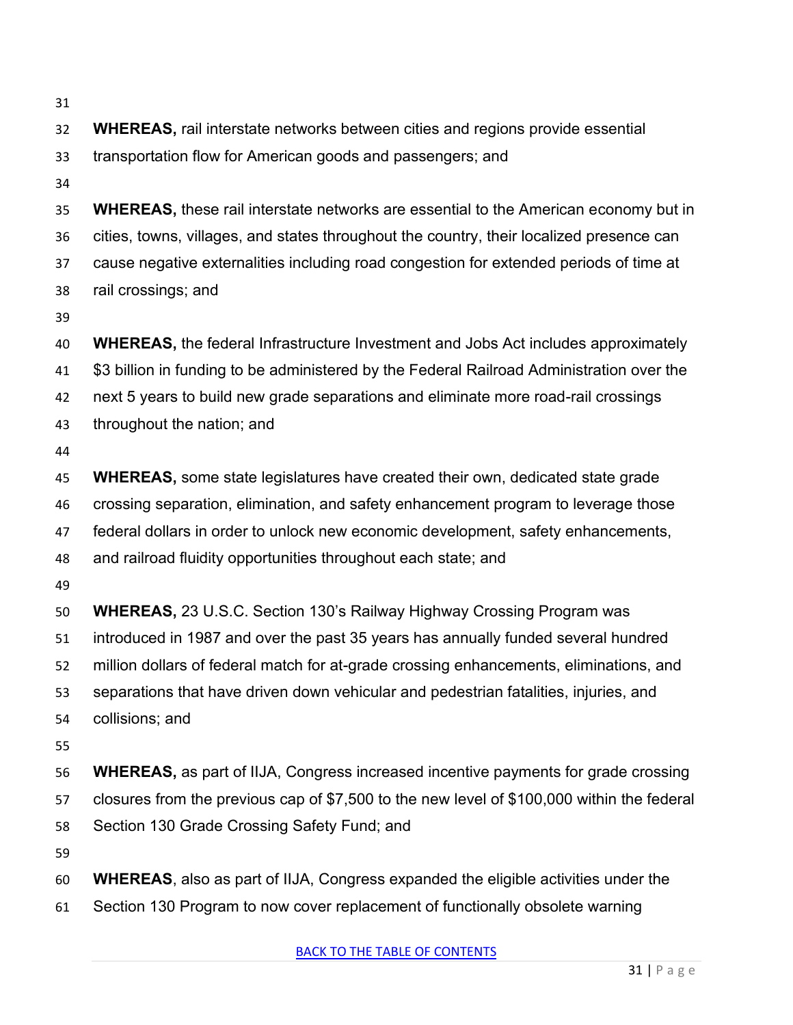| <b>WHEREAS, rail interstate networks between cities and regions provide essential</b>       |
|---------------------------------------------------------------------------------------------|
| transportation flow for American goods and passengers; and                                  |
|                                                                                             |
| <b>WHEREAS, these rail interstate networks are essential to the American economy but in</b> |
| cities, towns, villages, and states throughout the country, their localized presence can    |
| cause negative externalities including road congestion for extended periods of time at      |
| rail crossings; and                                                                         |
|                                                                                             |
| <b>WHEREAS, the federal Infrastructure Investment and Jobs Act includes approximately</b>   |
| \$3 billion in funding to be administered by the Federal Railroad Administration over the   |
| next 5 years to build new grade separations and eliminate more road-rail crossings          |
| throughout the nation; and                                                                  |
|                                                                                             |
| <b>WHEREAS,</b> some state legislatures have created their own, dedicated state grade       |
| crossing separation, elimination, and safety enhancement program to leverage those          |
| federal dollars in order to unlock new economic development, safety enhancements,           |
| and railroad fluidity opportunities throughout each state; and                              |
|                                                                                             |
| <b>WHEREAS, 23 U.S.C. Section 130's Railway Highway Crossing Program was</b>                |
| introduced in 1987 and over the past 35 years has annually funded several hundred           |
| million dollars of federal match for at-grade crossing enhancements, eliminations, and      |
| separations that have driven down vehicular and pedestrian fatalities, injuries, and        |
| collisions; and                                                                             |
|                                                                                             |
| <b>WHEREAS, as part of IIJA, Congress increased incentive payments for grade crossing</b>   |
| closures from the previous cap of \$7,500 to the new level of \$100,000 within the federal  |
| Section 130 Grade Crossing Safety Fund; and                                                 |
| <b>WHEREAS, also as part of IIJA, Congress expanded the eligible activities under the</b>   |
| Section 130 Program to now cover replacement of functionally obsolete warning               |
| <b>BACK TO THE TABLE OF CONTENTS</b>                                                        |
| $31$   Page                                                                                 |